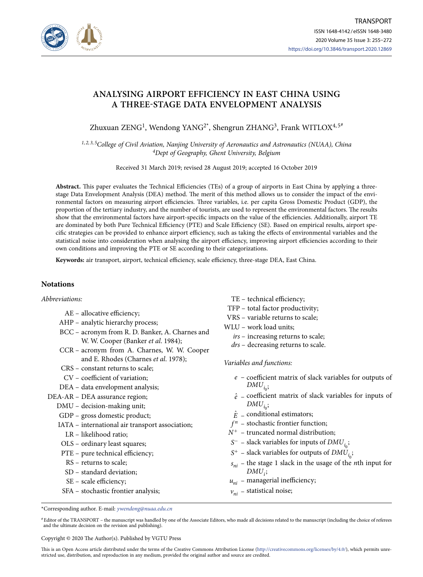

# **ANALYSING AIRPORT EFFICIENCY IN EAST CHINA USING A THREE-STAGE DATA ENVELOPMENT ANALYSIS**

Zhuxuan ZENG<sup>1</sup>, Wendong YANG<sup>2\*</sup>, Shengrun ZHANG<sup>3</sup>, Frank WITLOX<sup>4,5#</sup>

*1, 2, 3, 5College of Civil Aviation, Nanjing University of Aeronautics and Astronautics (NUAA), China 4Dept of Geography, Ghent University, Belgium*

Received 31 March 2019; revised 28 August 2019; accepted 16 October 2019

**Abstract.** This paper evaluates the Technical Efficiencies (TEs) of a group of airports in East China by applying a threestage Data Envelopment Analysis (DEA) method. The merit of this method allows us to consider the impact of the environmental factors on measuring airport efficiencies. Three variables, i.e. per capita Gross Domestic Product (GDP), the proportion of the tertiary industry, and the number of tourists, are used to represent the environmental factors. The results show that the environmental factors have airport-specific impacts on the value of the efficiencies. Additionally, airport TE are dominated by both Pure Technical Efficiency (PTE) and Scale Efficiency (SE). Based on empirical results, airport specific strategies can be provided to enhance airport efficiency, such as taking the effects of environmental variables and the statistical noise into consideration when analysing the airport efficiency, improving airport efficiencies according to their own conditions and improving the PTE or SE according to their categorizations.

**Keywords:** air transport, airport, technical efficiency, scale efficiency, three-stage DEA, East China.

# **Notations**

### *Abbreviations:*

- AE allocative efficiency;
- AHP analytic hierarchy process;
- BCC acronym from R. D. Banker, A. Charnes and W. W. Cooper (Banker *et al*. 1984);
- CCR acronym from A. Charnes, W. W. Cooper and E. Rhodes (Charnes *et al*. 1978);
- CRS constant returns to scale;
- CV coefficient of variation;
- DEA data envelopment analysis;
- DEA-AR DEA assurance region;
	- DMU decision-making unit;
	- GDP gross domestic product;
	- IATA international air transport association;
		- LR likelihood ratio;
	- OLS ordinary least squares;
	- PTE pure technical efficiency;
		- RS returns to scale;
		- SD standard deviation;
		- SE scale efficiency;
	- SFA stochastic frontier analysis;
- TE technical efficiency;
- TFP total factor productivity;
- VRS variable returns to scale;
- WLU work load units;
	- *irs* increasing returns to scale;
	- *drs* decreasing returns to scale.

*Variables and functions:*

- *e* coefficient matrix of slack variables for outputs of  $DMU_{i}$ ;
- $\hat{e}$  coefficient matrix of slack variables for inputs of  $DMU_{i_0};$
- $\hat{E}$  conditional estimators;
- $f<sup>n</sup>$  stochastic frontier function;
- $N^+$  truncated normal distribution;
- *S*<sup>−</sup> slack variables for inputs of *DMU*<sub>*i*</sub></sub>;
- $S^+$  slack variables for outputs of  $DMU_{i}$ ;
- $s_{ni}$  the stage 1 slack in the usage of the *n*th input for *DMUi*;
- $u_{ni}$  managerial inefficiency;
- $v_{ni}$  statistical noise;

\*Corresponding author. E-mail: *ywendong@nuaa.edu.cn*

Copyright © 2020 The Author(s). Published by VGTU Press

This is an Open Access article distributed under the terms of the Creative Commons Attribution License (http://creativecommons.org/licenses/by/4.0/), which permits unrestricted use, distribution, and reproduction in any medium, provided the original author and source are credited.

<sup>#</sup>Editor of the TRANSPORT – the manuscript was handled by one of the Associate Editors, who made all decisions related to the manuscript (including the choice of referees and the ultimate decision on the revision and publishing).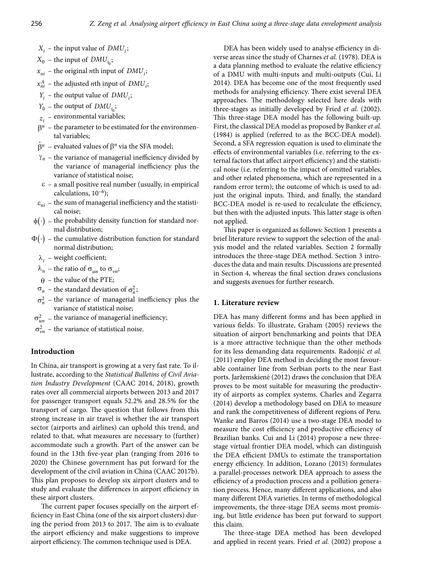- $X_i$  the input value of  $DMU_i$ ;
- $X_0$  the input of  $DMU_{i_0}$ ;
- $x_{ni}$  the original *n*th input of *DMU<sub>i</sub>*;
- $x_{ni}^A$  the adjusted *n*th input of *DMU*<sub>*i*</sub>;
- $Y_i$  the output value of  $DMU_i$ ;
- $Y_0$  the output of  $DMU_{i}$ ;
- $z_i$  environmental variables;
- $\beta$ <sup>n</sup> the parameter to be estimated for the environmental variables;
- $\hat{\beta}^n$  evaluated values of  $\beta^n$  via the SFA model;
- $\gamma_n$  the variance of managerial inefficiency divided by the variance of managerial inefficiency plus the variance of statistical noise;
- $\epsilon$  a small positive real number (usually, in empirical calculations,  $10^{-6}$ );
- $\varepsilon_{ni}$  the sum of managerial inefficiency and the statistical noise;
- $\phi(\cdot)$  the probability density function for standard normal distribution;
- $\Phi(\cdot)$  the cumulative distribution function for standard normal distribution;
	- $\lambda_i$  weight coefficient;
	- $\lambda_n$  the ratio of  $\sigma_{un}$  to  $\sigma_{vn}$ ;
	- $\theta$  the value of the PTE;
	- $\sigma_n$  the standard deviation of  $\sigma_n^2$ ;
	- $\sigma_n^2$  the variance of managerial inefficiency plus the variance of statistical noise;
- $\sigma_{un}^2$  the variance of managerial inefficiency;

 $\sigma_{\nu n}^2$  – the variance of statistical noise.

## **Introduction**

In China, air transport is growing at a very fast rate. To illustrate, according to the *Statistical Bulletins of Civil Aviation Industry Development* (CAAC 2014, 2018), growth rates over all commercial airports between 2013 and 2017 for passenger transport equals 52.2% and 28.5% for the transport of cargo. The question that follows from this strong increase in air travel is whether the air transport sector (airports and airlines) can uphold this trend, and related to that, what measures are necessary to (further) accommodate such a growth. Part of the answer can be found in the 13th five-year plan (ranging from 2016 to 2020) the Chinese government has put forward for the development of the civil aviation in China (CAAC 2017b). This plan proposes to develop six airport clusters and to study and evaluate the differences in airport efficiency in these airport clusters.

The current paper focuses specially on the airport efficiency in East China (one of the six airport clusters) during the period from 2013 to 2017. The aim is to evaluate the airport efficiency and make suggestions to improve airport efficiency. The common technique used is DEA.

DEA has been widely used to analyse efficiency in diverse areas since the study of Charnes *et al.* (1978). DEA is a data planning method to evaluate the relative efficiency of a DMU with multi-inputs and multi-outputs (Cui, Li 2014). DEA has become one of the most frequently used methods for analysing efficiency. There exist several DEA approaches. The methodology selected here deals with three-stages as initially developed by Fried *et al.* (2002). This three-stage DEA model has the following built-up. First, the classical DEA model as proposed by Banker *et al.*  (1984) is applied (referred to as the BCC-DEA model). Second, a SFA regression equation is used to eliminate the effects of environmental variables (i.e. referring to the external factors that affect airport efficiency) and the statistical noise (i.e. referring to the impact of omitted variables, and other related phenomena, which are represented in a random error term); the outcome of which is used to adjust the original inputs. Third, and finally, the standard BCC-DEA model is re-used to recalculate the efficiency, but then with the adjusted inputs. This latter stage is often not applied.

This paper is organized as follows: Section 1 presents a brief literature review to support the selection of the analysis model and the related variables. Section 2 formally introduces the three-stage DEA method. Section 3 introduces the data and main results. Discussions are presented in Section 4, whereas the final section draws conclusions and suggests avenues for further research.

# **1. Literature review**

DEA has many different forms and has been applied in various fields. To illustrate, Graham (2005) reviews the situation of airport benchmarking and points that DEA is a more attractive technique than the other methods for its less demanding data requirements. Radonjić *et al.*  (2011) employ DEA method in deciding the most favourable container line from Serbian ports to the near East ports. Jaržemskienė (2012) draws the conclusion that DEA proves to be most suitable for measuring the productivity of airports as complex systems. Charles and Zegarra (2014) develop a methodology based on DEA to measure and rank the competitiveness of different regions of Peru. Wanke and Barros (2014) use a two-stage DEA model to measure the cost efficiency and productive efficiency of Brazilian banks. Cui and Li (2014) propose a new threestage virtual frontier DEA model, which can distinguish the DEA efficient DMUs to estimate the transportation energy efficiency. In addition, Lozano (2015) formulates a parallel-processes network DEA approach to assess the efficiency of a production process and a pollution generation process. Hence, many different applications, and also many different DEA varieties. In terms of methodological improvements, the three-stage DEA seems most promising, but little evidence has been put forward to support this claim.

The three-stage DEA method has been developed and applied in recent years. Fried *et al.* (2002) propose a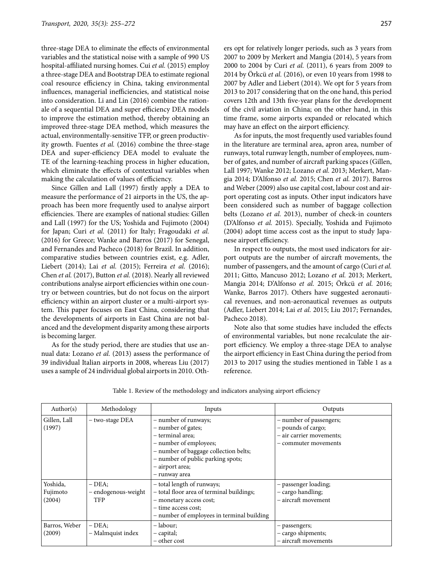three-stage DEA to eliminate the effects of environmental variables and the statistical noise with a sample of 990 US hospital-affiliated nursing homes. Cui *et al.* (2015) employ a three-stage DEA and Bootstrap DEA to estimate regional coal resource efficiency in China, taking environmental influences, managerial inefficiencies, and statistical noise into consideration. Li and Lin (2016) combine the rationale of a sequential DEA and super efficiency DEA models to improve the estimation method, thereby obtaining an improved three-stage DEA method, which measures the actual, environmentally-sensitive TFP, or green productivity growth. Fuentes *et al.* (2016) combine the three-stage DEA and super-efficiency DEA model to evaluate the TE of the learning-teaching process in higher education, which eliminate the effects of contextual variables when making the calculation of values of efficiency.

Since Gillen and Lall (1997) firstly apply a DEA to measure the performance of 21 airports in the US, the approach has been more frequently used to analyse airport efficiencies. There are examples of national studies: Gillen and Lall (1997) for the US; Yoshida and Fujimoto (2004) for Japan; Curi *et al.* (2011) for Italy; Fragoudaki *et al.*  (2016) for Greece; Wanke and Barros (2017) for Senegal, and Fernandes and Pacheco (2018) for Brazil. In addition, comparative studies between countries exist, e.g. Adler, Liebert (2014); Lai *et al.* (2015); Ferreira *et al.* (2016); Chen *et al.* (2017), Button *et al.* (2018). Nearly all reviewed contributions analyse airport efficiencies within one country or between countries, but do not focus on the airport efficiency within an airport cluster or a multi-airport system. This paper focuses on East China, considering that the developments of airports in East China are not balanced and the development disparity among these airports is becoming larger.

As for the study period, there are studies that use annual data: Lozano *et al.* (2013) assess the performance of 39 individual Italian airports in 2008, whereas Liu (2017) uses a sample of 24 individual global airports in 2010. Oth-

ers opt for relatively longer periods, such as 3 years from 2007 to 2009 by Merkert and Mangia (2014), 5 years from 2000 to 2004 by Curi *et al.* (2011), 6 years from 2009 to 2014 by Örkcü *et al.* (2016), or even 10 years from 1998 to 2007 by Adler and Liebert (2014). We opt for 5 years from 2013 to 2017 considering that on the one hand, this period covers 12th and 13th five-year plans for the development of the civil aviation in China; on the other hand, in this time frame, some airports expanded or relocated which may have an effect on the airport efficiency.

As for inputs, the most frequently used variables found in the literature are terminal area, apron area, number of runways, total runway length, number of employees, number of gates, and number of aircraft parking spaces (Gillen, Lall 1997; Wanke 2012; Lozano *et al.* 2013; Merkert, Mangia 2014; D'Alfonso *et al.* 2015; Chen *et al.* 2017). Barros and Weber (2009) also use capital cost, labour cost and airport operating cost as inputs. Other input indicators have been considered such as number of baggage collection belts (Lozano *et al.* 2013), number of check-in counters (D'Alfonso *et al.* 2015). Specially, Yoshida and Fujimoto (2004) adopt time access cost as the input to study Japanese airport efficiency.

In respect to outputs, the most used indicators for airport outputs are the number of aircraft movements, the number of passengers, and the amount of cargo (Curi *et al.*  2011; Gitto, Mancuso 2012; Lozano *et al.* 2013; Merkert, Mangia 2014; D'Alfonso *et al.* 2015; Örkcü *et al.* 2016; Wanke, Barros 2017). Others have suggested aeronautical revenues, and non-aeronautical revenues as outputs (Adler, Liebert 2014; Lai *et al.* 2015; Liu 2017; Fernandes, Pacheco 2018).

Note also that some studies have included the effects of environmental variables, but none recalculate the airport efficiency. We employ a three-stage DEA to analyse the airport efficiency in East China during the period from 2013 to 2017 using the studies mentioned in Table 1 as a reference.

| Author(s)                      | Methodology                                 | Inputs                                                                                                                                                                                                     | Outputs                                                                                           |
|--------------------------------|---------------------------------------------|------------------------------------------------------------------------------------------------------------------------------------------------------------------------------------------------------------|---------------------------------------------------------------------------------------------------|
| Gillen, Lall<br>(1997)         | - two-stage DEA                             | - number of runways;<br>- number of gates;<br>- terminal area:<br>- number of employees;<br>- number of baggage collection belts;<br>- number of public parking spots;<br>- airport area;<br>- runway area | - number of passengers;<br>- pounds of cargo;<br>- air carrier movements;<br>- commuter movements |
| Yoshida,<br>Fujimoto<br>(2004) | – DEA:<br>- endogenous-weight<br><b>TFP</b> | - total length of runways;<br>- total floor area of terminal buildings;<br>- monetary access cost;<br>- time access cost;<br>- number of employees in terminal building                                    | - passenger loading;<br>- cargo handling;<br>- aircraft movement                                  |
| Barros, Weber<br>(2009)        | $-$ DEA;<br>- Malmquist index               | – labour;<br>- capital;<br>– other cost                                                                                                                                                                    | - passengers;<br>- cargo shipments;<br>- aircraft movements                                       |

|  | Table 1. Review of the methodology and indicators analysing airport efficiency |
|--|--------------------------------------------------------------------------------|
|--|--------------------------------------------------------------------------------|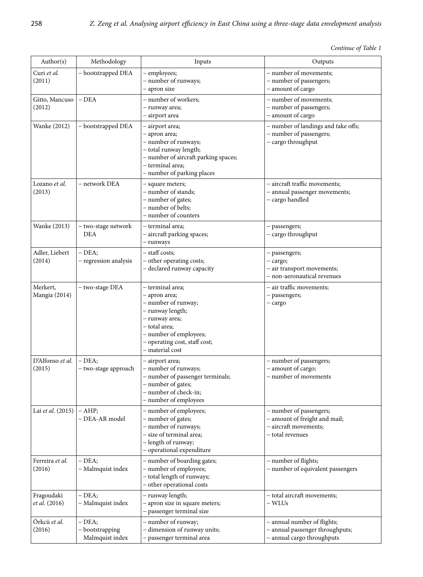| Continue of Table 1 |  |  |  |
|---------------------|--|--|--|
|---------------------|--|--|--|

| Author(s)                          | Methodology                                    | Inputs                                                                                                                                                                                        | Outputs                                                                                               |
|------------------------------------|------------------------------------------------|-----------------------------------------------------------------------------------------------------------------------------------------------------------------------------------------------|-------------------------------------------------------------------------------------------------------|
| Curi et al.<br>(2011)              | - bootstrapped DEA                             | - employees;<br>- number of runways;<br>- apron size                                                                                                                                          | - number of movements;<br>- number of passengers;<br>- amount of cargo                                |
| Gitto, Mancuso<br>(2012)           | $-DEA$                                         | - number of workers;<br>- runway area;<br>- airport area                                                                                                                                      | - number of movements;<br>- number of passengers;<br>- amount of cargo                                |
| Wanke (2012)                       | - bootstrapped DEA                             | - airport area;<br>- apron area;<br>- number of runways;<br>- total runway length;<br>- number of aircraft parking spaces;<br>- terminal area;<br>- number of parking places                  | - number of landings and take offs;<br>- number of passengers;<br>- cargo throughput                  |
| Lozano et al.<br>(2013)            | – network DEA                                  | - square meters;<br>- number of stands;<br>- number of gates;<br>- number of belts;<br>- number of counters                                                                                   | - aircraft traffic movements;<br>- annual passenger movements;<br>- cargo handled                     |
| Wanke (2013)                       | - two-stage network<br><b>DEA</b>              | – terminal area:<br>- aircraft parking spaces;<br>- runways                                                                                                                                   | - passengers;<br>- cargo throughput                                                                   |
| Adler, Liebert<br>(2014)           | $-DEA;$<br>- regression analysis               | - staff costs;<br>- other operating costs;<br>- declared runway capacity                                                                                                                      | - passengers;<br>- cargo;<br>- air transport movements;<br>- non-aeronautical revenues                |
| Merkert,<br>Mangia (2014)          | - two-stage DEA                                | – terminal area;<br>- apron area;<br>- number of runway;<br>- runway length;<br>- runway area;<br>- total area;<br>- number of employees;<br>- operating cost, staff cost;<br>- material cost | - air traffic movements;<br>- passengers;<br>$-$ cargo                                                |
| D'Alfonso et al.<br>(2015)         | $-$ DEA:<br>- two-stage approach               | - airport area;<br>- number of runways;<br>- number of passenger terminals;<br>- number of gates;<br>- number of check-in;<br>- number of employees                                           | - number of passengers;<br>- amount of cargo;<br>- number of movements                                |
| Lai et al. (2015)                  | $- AHP$<br>- DEA-AR model                      | - number of employees;<br>- number of gates;<br>- number of runways;<br>- size of terminal area;<br>- length of runway;<br>- operational expenditure                                          | - number of passengers;<br>- amount of freight and mail;<br>- aircraft movements;<br>– total revenues |
| Ferreira et al.<br>(2016)          | $-$ DEA;<br>- Malmquist index                  | - number of boarding gates;<br>- number of employees;<br>- total length of runways;<br>- other operational costs                                                                              | - number of flights;<br>- number of equivalent passengers                                             |
| Fragoudaki<br><i>et al.</i> (2016) | $-$ DEA;<br>- Malmquist index                  | - runway length;<br>- apron size in square meters;<br>- passenger terminal size                                                                                                               | - total aircraft movements;<br>– WLUs                                                                 |
| Örkcü et al.<br>(2016)             | $-$ DEA;<br>- bootstrapping<br>Malmquist index | - number of runway;<br>- dimension of runway units;<br>passenger terminal area                                                                                                                | - annual number of flights;<br>- annual passenger throughputs;<br>annual cargo throughputs            |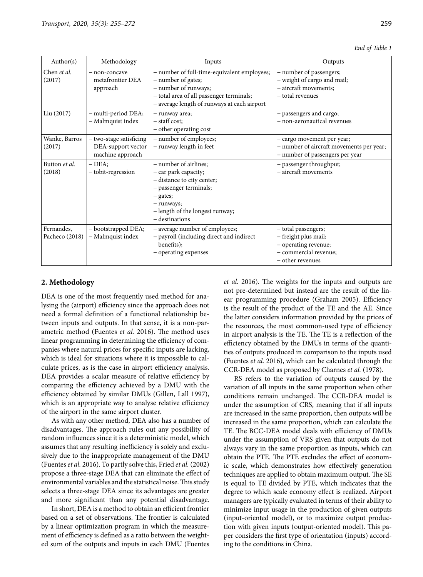|  |  | End of Table 1 |  |
|--|--|----------------|--|
|--|--|----------------|--|

| Author( $s$ )  | Methodology             | Inputs                                      | Outputs                                  |
|----------------|-------------------------|---------------------------------------------|------------------------------------------|
| Chen et al.    | - non-concave           | - number of full-time-equivalent employees; | - number of passengers;                  |
| (2017)         | metafrontier DEA        | - number of gates;                          | - weight of cargo and mail;              |
|                | approach                | - number of runways;                        | - aircraft movements;                    |
|                |                         | - total area of all passenger terminals;    | - total revenues                         |
|                |                         | - average length of runways at each airport |                                          |
| Liu (2017)     | - multi-period DEA;     | - runway area;                              | - passengers and cargo;                  |
|                | - Malmquist index       | - staff cost;                               | - non-aeronautical revenues              |
|                |                         | - other operating cost                      |                                          |
| Wanke, Barros  | - two-stage satisficing | - number of employees;                      | - cargo movement per year;               |
| (2017)         | DEA-support vector      | - runway length in feet                     | - number of aircraft movements per year; |
|                | machine approach        |                                             | - number of passengers per year          |
| Button et al.  | - DEA;                  | - number of airlines;                       | - passenger throughput;                  |
| (2018)         | - tobit-regression      | - car park capacity;                        | - aircraft movements                     |
|                |                         | - distance to city center;                  |                                          |
|                |                         | - passenger terminals;                      |                                          |
|                |                         | - gates;                                    |                                          |
|                |                         | - runways;                                  |                                          |
|                |                         | - length of the longest runway;             |                                          |
|                |                         | - destinations                              |                                          |
| Fernandes,     | - bootstrapped DEA;     | - average number of employees;              | - total passengers;                      |
| Pacheco (2018) | - Malmquist index       | - payroll (including direct and indirect    | - freight plus mail;                     |
|                |                         | benefits);                                  | - operating revenue;                     |
|                |                         | - operating expenses                        | - commercial revenue;                    |
|                |                         |                                             | - other revenues                         |
|                |                         |                                             |                                          |

# **2. Methodology**

DEA is one of the most frequently used method for analysing the (airport) efficiency since the approach does not need a formal definition of a functional relationship between inputs and outputs. In that sense, it is a non-parametric method (Fuentes *et al.* 2016). The method uses linear programming in determining the efficiency of companies where natural prices for specific inputs are lacking, which is ideal for situations where it is impossible to calculate prices, as is the case in airport efficiency analysis. DEA provides a scalar measure of relative efficiency by comparing the efficiency achieved by a DMU with the efficiency obtained by similar DMUs (Gillen, Lall 1997), which is an appropriate way to analyse relative efficiency of the airport in the same airport cluster.

As with any other method, DEA also has a number of disadvantages. The approach rules out any possibility of random influences since it is a deterministic model, which assumes that any resulting inefficiency is solely and exclusively due to the inappropriate management of the DMU (Fuentes *et al.* 2016). To partly solve this, Fried *et al.* (2002) propose a three-stage DEA that can eliminate the effect of environmental variables and the statistical noise. This study selects a three-stage DEA since its advantages are greater and more significant than any potential disadvantage.

In short, DEA is a method to obtain an efficient frontier based on a set of observations. The frontier is calculated by a linear optimization program in which the measurement of efficiency is defined as a ratio between the weighted sum of the outputs and inputs in each DMU (Fuentes

*et al.* 2016). The weights for the inputs and outputs are not pre-determined but instead are the result of the linear programming procedure (Graham 2005). Efficiency is the result of the product of the TE and the AE. Since the latter considers information provided by the prices of the resources, the most common-used type of efficiency in airport analysis is the TE. The TE is a reflection of the efficiency obtained by the DMUs in terms of the quantities of outputs produced in comparison to the inputs used (Fuentes *et al.* 2016), which can be calculated through the CCR-DEA model as proposed by Charnes *et al.* (1978).

RS refers to the variation of outputs caused by the variation of all inputs in the same proportion when other conditions remain unchanged. The CCR-DEA model is under the assumption of CRS, meaning that if all inputs are increased in the same proportion, then outputs will be increased in the same proportion, which can calculate the TE. The BCC-DEA model deals with efficiency of DMUs under the assumption of VRS given that outputs do not always vary in the same proportion as inputs, which can obtain the PTE. The PTE excludes the effect of economic scale, which demonstrates how effectively generation techniques are applied to obtain maximum output. The SE is equal to TE divided by PTE, which indicates that the degree to which scale economy effect is realized. Airport managers are typically evaluated in terms of their ability to minimize input usage in the production of given outputs (input-oriented model), or to maximize output production with given inputs (output-oriented model). This paper considers the first type of orientation (inputs) according to the conditions in China.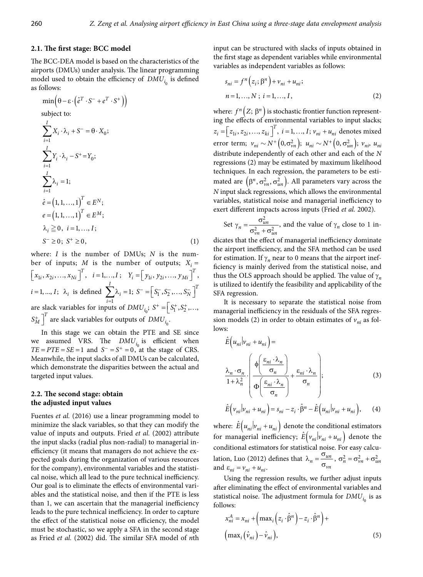### **2.1. The first stage: BCC model**

The BCC-DEA model is based on the characteristics of the airports (DMUs) under analysis. The linear programming model used to obtain the efficiency of  $DMU_{i}$  is defined as follows:

$$
\min\left(\theta - \varepsilon \cdot \left(\hat{e}^T \cdot S^- + e^T \cdot S^+\right)\right)
$$
\nsubject to:  
\n
$$
\sum_{i=1}^I X_i \cdot \lambda_i + S^- = \theta \cdot X_0;
$$
\n
$$
\sum_{i=1}^I Y_i \cdot \lambda_i - S^+ = Y_0;
$$
\n
$$
\sum_{i=1}^I \lambda_i = 1;
$$
\n
$$
\hat{e} = (1, 1, ..., 1)^T \in E^N;
$$
\n
$$
e = (1, 1, ..., 1)^T \in E^M;
$$
\n
$$
\lambda_i \geq 0, \quad i = 1, ..., I;
$$
\n
$$
S^- \geq 0; \quad S^+ \geq 0,
$$
\n(1)

where: *I* is the number of DMUs; *N* is the number of inputs; *M* is the number of outputs;  $X_i =$  $\left[x_{1i}, x_{2i},..., x_{Ni}\right]^T$ ,  $i = 1,..., I$ ;  $Y_i = \left[y_{1i}, y_{2i},..., y_{Mi}\right]^T$ ,  $i = 1, ..., I; \lambda_i$  is defined 1 1 *I i*  $\sum_{i=1}^{1} \lambda_i = 1; S^- = \left[ S_1^-, S_2^-, \dots, S_N^- \right]^T$ are slack variables for inputs of  $DMU_{i_0}$ ;  $S^+ = \left[S_1^+, S_2^+, \ldots, Y_n^-\right]$  $S_M^+$ <sup>T</sup> are slack variables for outputs of  $\overline{DMU_{i_0}}$ .

> In this stage we can obtain the PTE and SE since we assumed VRS. The  $DMU_{i_0}$  is efficient when  $TE = PTE = SE = 1$  and  $S^- = S^+ = 0$ , at the stage of CRS. Meanwhile, the input slacks of all DMUs can be calculated, which demonstrate the disparities between the actual and targeted input values.

# **2.2. The second stage: obtain the adjusted input values**

Fuentes *et al.* (2016) use a linear programming model to minimize the slack variables, so that they can modify the value of inputs and outputs. Fried *et al.* (2002) attribute the input slacks (radial plus non-radial) to managerial inefficiency (it means that managers do not achieve the expected goals during the organization of various resources for the company), environmental variables and the statistical noise, which all lead to the pure technical inefficiency. Our goal is to eliminate the effects of environmental variables and the statistical noise, and then if the PTE is less than 1, we can ascertain that the managerial inefficiency leads to the pure technical inefficiency. In order to capture the effect of the statistical noise on efficiency, the model must be stochastic, so we apply a SFA in the second stage as Fried *et al.* (2002) did. The similar SFA model of *n*th input can be structured with slacks of inputs obtained in the first stage as dependent variables while environmental variables as independent variables as follows:

$$
s_{ni} = f^{n}(z_i; \beta^n) + v_{ni} + u_{ni};
$$
  
\n
$$
n = 1, ..., N; i = 1, ..., I,
$$
 (2)

where:  $f^{n}(Z; \beta^{n})$  is stochastic frontier function representing the effects of environmental variables to input slacks;  $z_i = [z_{1i}, z_{2i}, \dots, z_{ki}]^T$ ,  $i = 1, \dots, I; v_{ni} + u_{ni}$  denotes mixed error term;  $v_{ni} \sim N^+ (0, \sigma_{vn}^2); u_{ni} \sim N^+ (0, \sigma_{un}^2); v_{ni} \cdot u_{ni}$ distribute independently of each other and each of the *N* regressions (2) may be estimated by maximum likelihood techniques. In each regression, the parameters to be estimated are  $(\beta^n, \sigma_{vn}^2, \sigma_{un}^2)$ . All parameters vary across the *N* input slack regressions, which allows the environmental variables, statistical noise and managerial inefficiency to exert different impacts across inputs (Fried *et al.* 2002).

Set 
$$
\gamma_n = \frac{\sigma_{un}^2}{\sigma_{vn}^2 + \sigma_{un}^2}
$$
, and the value of  $\gamma_n$  close to 1 in-

 $X_i =$  ficiency is mainly derived from the statistical noise, and dicates that the effect of managerial inefficiency dominate the airport inefficiency, and the SFA method can be used for estimation. If  $\gamma_n$  near to 0 means that the airport inefthus the OLS approach should be applied. The value of  $\gamma_n$ is utilized to identify the feasibility and applicability of the SFA regression.

> It is necessary to separate the statistical noise from managerial inefficiency in the residuals of the SFA regression models (2) in order to obtain estimates of  $v_{ni}$  as follows:

$$
\hat{E}\left(u_{ni}|v_{ni} + u_{ni}\right) = \frac{\lambda_n \cdot \sigma_n}{1 + \lambda_n^2} \cdot \left(\frac{\phi\left(\frac{\varepsilon_{ni} \cdot \lambda_n}{\sigma_n}\right)}{\phi\left(\frac{\varepsilon_{ni} \cdot \lambda_n}{\sigma_n}\right)} + \frac{\varepsilon_{ni} \cdot \lambda_n}{\sigma_n}\right);
$$
\n(3)

$$
\hat{E}\Big(v_{ni}|v_{ni} + u_{ni}\Big) = s_{ni} - z_i \cdot \hat{\beta}^n - \hat{E}\Big(u_{ni}|v_{ni} + u_{ni}\Big),\qquad(4)
$$

where:  $\hat{E}( u_{ni} | v_{ni} + u_{ni})$  denote the conditional estimators for managerial inefficiency;  $\hat{E}(v_{ni} | v_{ni} + u_{ni})$  denote the conditional estimators for statistical noise. For easy calculation, Luo (2012) defines that  $\lambda_n = \frac{v_{un}}{\sigma_{vn}}$ <br>and  $\varepsilon_{ni} = v_{ni} + u_{ni}$ .  $\lambda_n = \frac{\sigma_{un}}{\sigma_{vn}}$ ,  $\sigma_n^2 = \sigma_{vn}^2 + \sigma_{un}^2$ and  $\varepsilon_{ni} = v_{ni} + u_{ni}$ .

Using the regression results, we further adjust inputs after eliminating the effect of environmental variables and statistical noise. The adjustment formula for  $DMU_{i}$  is as follows:

$$
x_{ni}^{A} = x_{ni} + \left(\max_{i} \left(z_{i} \cdot \hat{\beta}^{n}\right) - z_{i} \cdot \hat{\beta}^{n}\right) + \left(\max_{i} \left(\hat{v}_{ni}\right) - \hat{v}_{ni}\right),
$$
\n(5)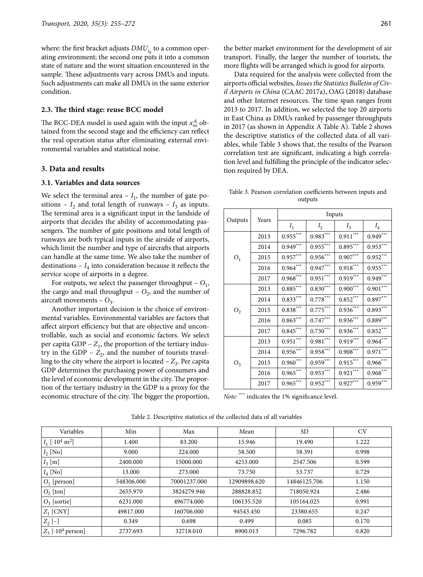where: the first bracket adjusts  $DMU<sub>i<sub>o</sub></sub>$  to a common operating environment; the second one puts it into a common state of nature and the worst situation encountered in the sample. These adjustments vary across DMUs and inputs. Such adjustments can make all DMUs in the same exterior condition.

### **2.3. The third stage: reuse BCC model**

The BCC-DEA model is used again with the input  $x_{ni}^A$  obtained from the second stage and the efficiency can reflect the real operation status after eliminating external environmental variables and statistical noise.

# **3. Data and results**

### **3.1. Variables and data sources**

We select the terminal area  $-I_1$ , the number of gate positions –  $I_2$  and total length of runways –  $I_3$  as inputs. The terminal area is a significant input in the landside of airports that decides the ability of accommodating passengers. The number of gate positions and total length of runways are both typical inputs in the airside of airports, which limit the number and type of aircrafts that airports can handle at the same time. We also take the number of destinations –  $I_4$  into consideration because it reflects the service scope of airports in a degree.

For outputs, we select the passenger throughput  $- O_1$ , the cargo and mail throughput –  $O_2$ , and the number of aircraft movements –  $O_3$ .

Another important decision is the choice of environmental variables. Environmental variables are factors that affect airport efficiency but that are objective and uncontrollable, such as social and economic factors. We select per capita  $GDP - Z_1$ , the proportion of the tertiary industry in the GDP  $- Z_2$ , and the number of tourists travelling to the city where the airport is located  $-Z_3$ . Per capita GDP determines the purchasing power of consumers and the level of economic development in the city. The proportion of the tertiary industry in the GDP is a proxy for the economic structure of the city. The bigger the proportion,

Data required for the analysis were collected from the airports official websites, *Issues the Statistics Bulletin of Civil Airports in China* (CAAC 2017a), OAG (2018) database and other Internet resources. The time span ranges from 2013 to 2017. In addition, we selected the top 20 airports in East China as DMUs ranked by passenger throughputs in 2017 (as shown in Appendix A Table A). Table 2 shows the descriptive statistics of the collected data of all variables, while Table 3 shows that, the results of the Pearson correlation test are significant, indicating a high correlation level and fulfilling the principle of the indicator selection required by DEA.

Table 3. Pearson correlation coefficients between inputs and outputs

|                |       |            |            | Inputs     |            |  |
|----------------|-------|------------|------------|------------|------------|--|
| Outputs        | Years | $I_1$      | $I_2$      | $I_3$      | $I_4$      |  |
|                | 2013  | $0.955***$ | $0.983***$ | $0.911***$ | $0.949***$ |  |
|                | 2014  | $0.949***$ | $0.955***$ | $0.895***$ | $0.953***$ |  |
| $O_1$          | 2015  | $0.957***$ | $0.956***$ | $0.907***$ | $0.952***$ |  |
|                | 2016  | $0.964***$ | $0.947***$ | $0.918***$ | $0.955***$ |  |
|                | 2017  | $0.968***$ | $0.951***$ | $0.919***$ | $0.949***$ |  |
|                | 2013  | $0.885***$ | $0.830***$ | $0.900***$ | $0.901***$ |  |
|                | 2014  | $0.833***$ | $0.778***$ | $0.852***$ | $0.897***$ |  |
| O <sub>2</sub> | 2015  | $0.838***$ | $0.775***$ | $0.936***$ | $0.893***$ |  |
|                | 2016  | $0.863***$ | $0.747***$ | $0.936***$ | $0.889***$ |  |
|                | 2017  | $0.845***$ | $0.730***$ | $0.936***$ | $0.852***$ |  |
|                | 2013  | $0.951***$ | $0.981***$ | $0.919***$ | $0.964***$ |  |
|                | 2014  | $0.956***$ | $0.958***$ | $0.908***$ | $0.971***$ |  |
| $O_3$          | 2015  | $0.960***$ | $0.959***$ | $0.915***$ | $0.966***$ |  |
|                | 2016  | $0.965***$ | $0.953***$ | $0.921***$ | $0.968***$ |  |
|                | 2017  | $0.965***$ | $0.952***$ | $0.927***$ | $0.959***$ |  |

*Note:* \*\*\* indicates the 1% significance level.

| Variables                                | Min        | Max          | Mean         | SD.          | <b>CV</b> |
|------------------------------------------|------------|--------------|--------------|--------------|-----------|
| $I_1$ [·10 <sup>4</sup> m <sup>2</sup> ] | 1.400      | 83.200       | 15.946       | 19.490       | 1.222     |
| $I_2$ [No]                               | 9.000      | 224.000      | 58.500       | 58.391       | 0.998     |
| $I_3$ [m]                                | 2400.000   | 15000.000    | 4253.000     | 2547.506     | 0.599     |
| $I_4$ [No]                               | 13.000     | 273.000      | 73.750       | 53.737       | 0.729     |
| $ O_1$ [person]                          | 548306.000 | 70001237.000 | 12909898.620 | 14846125.706 | 1.150     |
| $O_2$ [ton]                              | 2655.970   | 3824279.946  | 288828.852   | 718050.924   | 2.486     |
| $O_3$ [sortie]                           | 6231.000   | 496774.000   | 106135.520   | 105164.025   | 0.991     |
| $Z_1$ [CNY]                              | 49817.000  | 160706.000   | 94543.450    | 23380.655    | 0.247     |
| $ Z_2$ [-]                               | 0.349      | 0.698        | 0.499        | 0.085        | 0.170     |
| $ Z_3 $ [·10 <sup>4</sup> person]        | 2737.693   | 32718.010    | 8900.013     | 7296.782     | 0.820     |

Table 2. Descriptive statistics of the collected data of all variables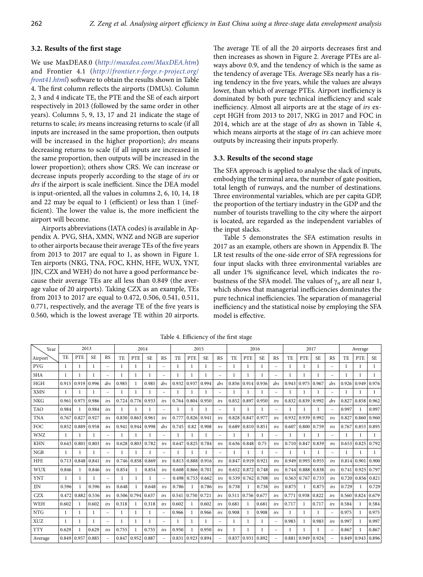### **3.2. Results of the first stage**

We use MaxDEA8.0 (*http:*//*maxdea.com*/*[MaxDEA.htm](http://maxdea.com/MaxDEA.htm)*) and Frontier 4.1 (*http:*//*[frontier.r-forge.r-project.org](http://frontier.r-forge.r-project.org/front41.html)*/ *[front41.html](http://frontier.r-forge.r-project.org/front41.html)*) software to obtain the results shown in Table 4. The first column reflects the airports (DMUs). Column 2, 3 and 4 indicate TE, the PTE and the SE of each airport respectively in 2013 (followed by the same order in other years). Columns 5, 9, 13, 17 and 21 indicate the stage of returns to scale; *irs* means increasing returns to scale (if all inputs are increased in the same proportion, then outputs will be increased in the higher proportion); *drs* means decreasing returns to scale (if all inputs are increased in the same proportion, then outputs will be increased in the lower proportion); others show CRS. We can increase or decrease inputs properly according to the stage of *irs* or *drs* if the airport is scale inefficient. Since the DEA model is input-oriented, all the values in columns 2, 6, 10, 14, 18 and 22 may be equal to 1 (efficient) or less than 1 (inefficient). The lower the value is, the more inefficient the airport will become.

Airports abbreviations (IATA codes) is available in Appendix A. PVG, SHA, XMN, WNZ and NGB are superior to other airports because their average TEs of the five years from 2013 to 2017 are equal to 1, as shown in Figure 1. Ten airports (NKG, TNA, FOC, KHN, HFE, WUX, YNT, JJN, CZX and WEH) do not have a good performance because their average TEs are all less than 0.849 (the average value of 20 airports). Taking CZX as an example, TEs from 2013 to 2017 are equal to 0.472, 0.506, 0.541, 0.511, 0.771, respectively, and the average TE of the five years is 0.560, which is the lowest average TE within 20 airports.

The average TE of all the 20 airports decreases first and then increases as shown in Figure 2. Average PTEs are always above 0.9, and the tendency of which is the same as the tendency of average TEs. Average SEs nearly has a rising tendency in the five years, while the values are always lower, than which of average PTEs. Airport inefficiency is dominated by both pure technical inefficiency and scale inefficiency. Almost all airports are at the stage of *irs* except HGH from 2013 to 2017, NKG in 2017 and FOC in 2014, which are at the stage of *drs* as shown in Table 4, which means airports at the stage of *irs* can achieve more outputs by increasing their inputs properly.

### **3.3. Results of the second stage**

The SFA approach is applied to analyse the slack of inputs, embodying the terminal area, the number of gate position, total length of runways, and the number of destinations. Three environmental variables, which are per capita GDP, the proportion of the tertiary industry in the GDP and the number of tourists travelling to the city where the airport is located, are regarded as the independent variables of the input slacks.

Table 5 demonstrates the SFA estimation results in 2017 as an example, others are shown in Appendix B. The LR test results of the one-side error of SFA regressions for four input slacks with three environmental variables are all under 1% significance level, which indicates the robustness of the SFA model. The values of  $\gamma_n$  are all near 1, which shows that managerial inefficiencies dominates the pure technical inefficiencies. The separation of managerial inefficiency and the statistical noise by employing the SFA model is effective.

| Year       |              | 2013           |           |                          |              | 2014         |              |                          |              | 2015         |              |                          |                |              | 2016         |                          |              | 2017         |           |                          |                | Average      |           |
|------------|--------------|----------------|-----------|--------------------------|--------------|--------------|--------------|--------------------------|--------------|--------------|--------------|--------------------------|----------------|--------------|--------------|--------------------------|--------------|--------------|-----------|--------------------------|----------------|--------------|-----------|
| Airport    | TE           | PTE            | <b>SE</b> | <b>RS</b>                | <b>TE</b>    | PTE          | <b>SE</b>    | <b>RS</b>                | TE.          | <b>PTE</b>   | <b>SE</b>    | <b>RS</b>                | T <sub>F</sub> | <b>PTE</b>   | <b>SE</b>    | <b>RS</b>                | TE.          | <b>PTE</b>   | <b>SE</b> | <b>RS</b>                | T <sub>E</sub> | <b>PTE</b>   | <b>SE</b> |
| PVG        | 1            | $\mathbf{1}$   | 1         | $\equiv$                 | 1            | 1            | 1            | $\equiv$                 | $\mathbf{1}$ | 1            | $\mathbf{1}$ | $\overline{\phantom{0}}$ | $\mathbf{1}$   | 1            | $\mathbf{1}$ | $\equiv$                 | 1            | 1            | 1         | $\equiv$                 | 1              | 1            | 1         |
| <b>SHA</b> | $\mathbf{1}$ |                |           | $\equiv$                 | 1            | 1            | $\mathbf{1}$ | $\equiv$                 | $\mathbf{1}$ | $\mathbf{1}$ | 1            | $\overline{\phantom{m}}$ | $\mathbf{1}$   | $\mathbf{1}$ | $\mathbf{1}$ | L.                       |              | 1            | 1         | L.                       | 1              |              |           |
| <b>HGH</b> | 0.915        | 0.919          | 0.996     | drs                      | 0.985        | $\mathbf{1}$ | 0.985        | drs                      | 0.932        | 0.937        | 0.994        | drs                      | 0.856          | 0.914        | 0.936        | drs                      | 0.943        | 0.975        | 0.967     | drs                      | 0.926          | 0.949        | 0.976     |
| <b>XMN</b> | 1            |                |           | $\equiv$                 | 1            | 1            | 1            | $\equiv$                 | 1            | -1           | 1            | $\overline{\phantom{m}}$ | 1              | 1            |              | $\overline{\phantom{m}}$ | 1            |              |           | $\overline{\phantom{0}}$ | 1              | 1            | 1         |
| <b>NKG</b> | 0.961        | 0.975          | 0.986     | irs                      | 0.724        | 0.776        | 0.933        | irs                      | 0.764        | 0.804        | 0.950        | irs                      | 0.852          | 0.897        | 0.950        | irs                      | 0.832        | 0.839        | 0.992     | drs                      | 0.827          | 0.858        | 0.962     |
| <b>TAO</b> | 0.984        | $\mathbf{1}$   | 0.984     | irs                      | 1            | $\mathbf{1}$ | $\mathbf{1}$ | $\overline{\phantom{0}}$ | 1            | $\mathbf{1}$ | 1            | -                        | $\mathbf{1}$   | $\mathbf{1}$ | 1            | $\qquad \qquad -$        | $\mathbf{1}$ | $\mathbf{1}$ | 1         | $\equiv$                 | 0.997          | $\mathbf{1}$ | 0.997     |
| <b>TNA</b> | 0.767        | 0.827          | 0.927     | irs                      | 0.830        | 0.863        | 0.961        | irs                      | 0.777        | 0.826        | 0.941        | irs                      | 0.828          | 0.847        | 0.977        | irs                      | 0.932        | 0.939        | 0.992     | irs                      | 0.827          | 0.860        | 0.960     |
| FOC        | 0.852        | 0.889          | 0.958     | irs                      | 0.941        | 0.944        | 0.998        | drs                      | 0.745        | 0.82         | 0.908        | irs                      | 0.689          | 0.810        | 0.851        | irs                      | 0.607        | 0.800        | 0.759     | irs                      | 0.767          | 0.853        | 0.895     |
| <b>WNZ</b> | 1            | $\mathbf{1}$   |           | $\equiv$                 | 1            | $\mathbf{1}$ | 1            | $\overline{\phantom{0}}$ | 1            | $\mathbf{1}$ | 1            | $\equiv$                 | 1              | $\mathbf{1}$ | 1            | $\overline{\phantom{0}}$ | 1            | $\mathbf{1}$ |           | $\overline{\phantom{0}}$ | 1              | 1            | 1         |
| <b>KHN</b> | 0.643        | 0.801          | 0.803     | irs                      | 0.628        | 0.803        | 0.782        | irs                      | 0.647        | 0.825        | 0.784        | irs                      | 0.636          | 0.848        | 0.75         | irs                      | 0.710        | 0.847        | 0.839     | irs                      | 0.653          | 0.825        | 0.792     |
| NGB        | 1            |                |           | $\overline{\phantom{a}}$ | $\mathbf{1}$ |              | $\mathbf{1}$ | $\equiv$                 | 1            | $\mathbf{1}$ | $\mathbf{1}$ | -                        | $\mathbf{1}$   | $\mathbf{1}$ | 1            | $\qquad \qquad -$        | $\mathbf{1}$ |              |           | $\overline{\phantom{0}}$ |                | 1            | 1         |
| <b>HFE</b> | 0.713        | 0.848          | 0.841     | irs                      | 0.746        | 0.858        | 0.869        | irs                      | 0.813        | 0.888        | 0.916        | irs                      | 0.847          | 0.919        | 0.921        | irs                      | 0.949        | 0.993        | 0.955     | irs                      | 0.814          | 0.901        | 0.900     |
| WUX        | 0.846        | $\mathbf{1}$   | 0.846     | irs                      | 0.854        | $\mathbf{1}$ | 0.854        | irs                      | 0.608        | 0.866        | 0.701        | irs                      | 0.652          | 0.872        | 0.748        | irs                      | 0.744        | 0.888        | 0.838     | irs                      | 0.741          | 0.925        | 0.797     |
| <b>YNT</b> | $\mathbf{1}$ | $\mathbf{1}$   |           | $\equiv$                 | 1            | 1            |              | $\qquad \qquad -$        | 0.498        | 0.753        | 0.662        | irs                      | 0.539          | 0.762        | 0.708        | irs                      | 0.563        | 0.767        | 0.733     | irs                      | 0.720          | 0.856        | 0.821     |
| JJN        | 0.596        | $\overline{1}$ | 0.596     | irs                      | 0.648        | $\mathbf{1}$ | 0.648        | irs                      | 0.786        | $\mathbf{1}$ | 0.786        | irs                      | 0.738          | $\mathbf{1}$ | 0.738        | irs                      | 0.875        | $\mathbf{1}$ | 0.875     | irs                      | 0.729          | 1            | 0.729     |
| <b>CZX</b> | 0.472        | 0.882          | 0.536     | irs                      | 0.506        | 0.794        | 0.637        | irs                      | 0.541        | 0.750        | 0.721        | irs                      | 0.511          | 0.756        | 0.677        | irs                      | 0.771        | 0.938        | 0.822     | irs                      | 0.560          | 0.824        | 0.679     |
| WEH        | 0.602        | 1              | 0.602     | irs                      | 0.318        | 1            | 0.318        | irs                      | 0.602        | 1            | 0.602        | irs                      | 0.681          | 1            | 0.681        | irs                      | 0.717        | 1            | 0.717     | irs                      | 0.584          | $\mathbf{1}$ | 0.584     |
| <b>NTG</b> | $\mathbf{1}$ |                |           | $\equiv$                 | 1            | 1            | 1            | $\qquad \qquad -$        | 0.966        | 1            | 0.966        | irs                      | 0.908          | 1            | 0.908        | irs                      |              | $\mathbf{1}$ | 1         | $\overline{\phantom{0}}$ | 0.975          |              | 0.975     |
| <b>XUZ</b> |              |                |           | $\equiv$                 | 1            | 1            | 1            | $\equiv$                 |              | $\mathbf{1}$ |              | $\overline{\phantom{m}}$ | 1              |              |              | $\overline{\phantom{0}}$ | 0.983        | 1            | 0.983     | irs                      | 0.997          |              | 0.997     |
| <b>YTY</b> | 0.629        | $\mathbf{1}$   | 0.629     | irs                      | 0.755        | $\mathbf{1}$ | 0.755        | irs                      | 0.950        | $\mathbf{1}$ | 0.950        | irs                      | 1              | 1            | $\mathbf{1}$ | L,                       | $\mathbf{1}$ |              | 1         | $\overline{\phantom{0}}$ | 0.867          | $\mathbf{1}$ | 0.867     |
| Average    | 0.849        | 0.957          | 0.885     | $\overline{\phantom{a}}$ | 0.847        | 0.952        | 0.887        | $\overline{\phantom{0}}$ | 0.831        | 0.923        | 0.894        | $\overline{\phantom{a}}$ | 0.837          | 0.931        | 0.892        | ÷                        | 0.881        | 0.949        | 0.924     | ۳                        | 0.849          | 0.943        | 0.896     |

Table 4. Efficiency of the first stage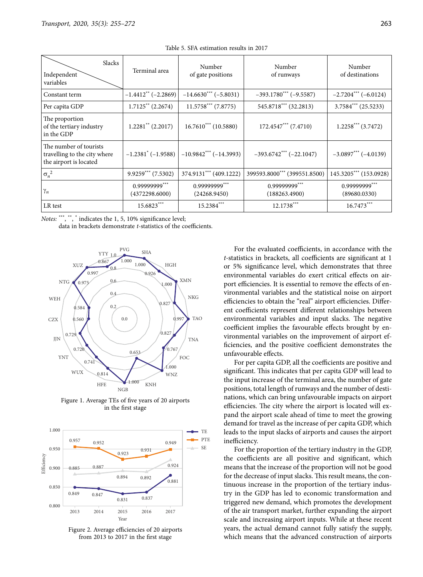| Slacks<br>Independent<br>variables                                               | Terminal area                    | Number<br>of gate positions   | Number<br>of runways           | Number<br>of destinations     |  |  |
|----------------------------------------------------------------------------------|----------------------------------|-------------------------------|--------------------------------|-------------------------------|--|--|
| Constant term                                                                    | $-1.4412** (-2.2869)$            | $-14.6630***(-5.8031)$        | $-393.1780***$ (-9.5587)       | $-2.7204***$ (-6.0124)        |  |  |
| Per capita GDP                                                                   | $1.7125$ <sup>**</sup> (2.2674)  | $11.5758***$ (7.8775)         | 545.8718*** (32.2813)          | $3.7584***$ (25.5233)         |  |  |
| The proportion<br>of the tertiary industry<br>in the GDP                         | $1.2281$ <sup>**</sup> (2.2017)  | $16.7610^{***}$ (10.5880)     | $172.4547***$ (7.4710)         | $1.2258***$ (3.7472)          |  |  |
| The number of tourists<br>travelling to the city where<br>the airport is located | $-1.2381$ <sup>*</sup> (-1.9588) | $-10.9842***(-14.3993)$       | $-393.6742***(-22.1047)$       | $-3.0897***(-4.0139)$         |  |  |
| $\sigma_n^2$                                                                     | $9.9259***$ (7.5302)             | 374.9131*** (409.1222)        | 399593.8000*** (399551.8500)   | 145.3205*** (153.0928)        |  |  |
| $\gamma_n$                                                                       | 0.99999999***<br>(4372298.6000)  | 0.99999999***<br>(24268.9450) | 0.99999999***<br>(188263.4900) | 0.99999999***<br>(89680.0330) |  |  |
| LR test                                                                          | 15.6823***                       | $15.2384***$                  | $12.1738***$                   | $16.7473***$                  |  |  |

Table 5. SFA estimation results in 2017

Notes: \*\*\*, \*\*, \* indicates the 1, 5, 10% significance level;

data in brackets demonstrate *t-*statistics of the coefficients.



Figure 1. Average TEs of five years of 20 airports in the first stage



Figure 2. Average efficiencies of 20 airports from 2013 to 2017 in the first stage

For the evaluated coefficients, in accordance with the *t-*statistics in brackets, all coefficients are significant at 1 or 5% significance level, which demonstrates that three environmental variables do exert critical effects on airport efficiencies. It is essential to remove the effects of environmental variables and the statistical noise on airport efficiencies to obtain the "real" airport efficiencies. Different coefficients represent different relationships between environmental variables and input slacks. The negative coefficient implies the favourable effects brought by environmental variables on the improvement of airport efficiencies, and the positive coefficient demonstrates the unfavourable effects.

For per capita GDP, all the coefficients are positive and significant. This indicates that per capita GDP will lead to the input increase of the terminal area, the number of gate positions, total length of runways and the number of destinations, which can bring unfavourable impacts on airport efficiencies. The city where the airport is located will expand the airport scale ahead of time to meet the growing demand for travel as the increase of per capita GDP, which leads to the input slacks of airports and causes the airport inefficiency.

For the proportion of the tertiary industry in the GDP, the coefficients are all positive and significant, which means that the increase of the proportion will not be good for the decrease of input slacks. This result means, the continuous increase in the proportion of the tertiary industry in the GDP has led to economic transformation and triggered new demand, which promotes the development of the air transport market, further expanding the airport scale and increasing airport inputs. While at these recent years, the actual demand cannot fully satisfy the supply, which means that the advanced construction of airports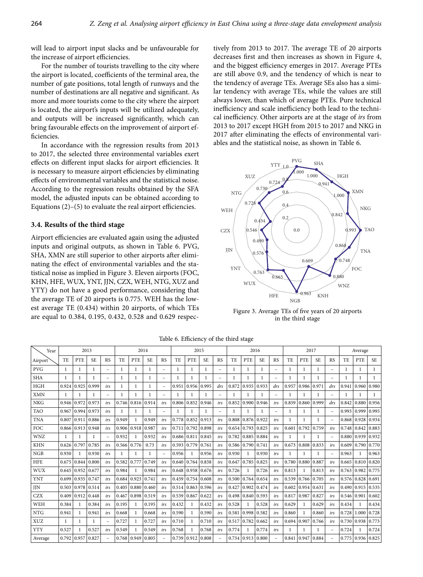will lead to airport input slacks and be unfavourable for the increase of airport efficiencies.

For the number of tourists travelling to the city where the airport is located, coefficients of the terminal area, the number of gate positions, total length of runways and the number of destinations are all negative and significant. As more and more tourists come to the city where the airport is located, the airport's inputs will be utilized adequately, and outputs will be increased significantly, which can bring favourable effects on the improvement of airport efficiencies.

In accordance with the regression results from 2013 to 2017, the selected three environmental variables exert effects on different input slacks for airport efficiencies. It is necessary to measure airport efficiencies by eliminating effects of environmental variables and the statistical noise. According to the regression results obtained by the SFA model, the adjusted inputs can be obtained according to Equations (2)–(5) to evaluate the real airport efficiencies.

### **3.4. Results of the third stage**

Airport efficiencies are evaluated again using the adjusted inputs and original outputs, as shown in Table 6. PVG, SHA, XMN are still superior to other airports after eliminating the effect of environmental variables and the statistical noise as implied in Figure 3. Eleven airports (FOC, KHN, HFE, WUX, YNT, JJN, CZX, WEH, NTG, XUZ and YTY) do not have a good performance, considering that the average TE of 20 airports is 0.775. WEH has the lowest average TE (0.434) within 20 airports, of which TEs are equal to 0.384, 0.195, 0.432, 0.528 and 0.629 respectively from 2013 to 2017. The average TE of 20 airports decreases first and then increases as shown in Figure 4, and the biggest efficiency emerges in 2017. Average PTEs are still above 0.9, and the tendency of which is near to the tendency of average TEs. Average SEs also has a similar tendency with average TEs, while the values are still always lower, than which of average PTEs. Pure technical inefficiency and scale inefficiency both lead to the technical inefficiency. Other airports are at the stage of *irs* from 2013 to 2017 except HGH from 2015 to 2017 and NKG in 2017 after eliminating the effects of environmental variables and the statistical noise, as shown in Table 6.



Figure 3. Average TEs of five years of 20 airports in the third stage

| Year       |                | 2013         |              |                          |              | 2014         |              |                          |              | 2015         |              |                          |           |            | 2016      |                          |       | 2017       |           |                          |       | Average |              |
|------------|----------------|--------------|--------------|--------------------------|--------------|--------------|--------------|--------------------------|--------------|--------------|--------------|--------------------------|-----------|------------|-----------|--------------------------|-------|------------|-----------|--------------------------|-------|---------|--------------|
| Airport    | T <sub>E</sub> | <b>PTE</b>   | <b>SE</b>    | <b>RS</b>                | TE           | <b>PTE</b>   | <b>SE</b>    | <b>RS</b>                | TE.          | PTE          | <b>SE</b>    | <b>RS</b>                | <b>TE</b> | <b>PTE</b> | <b>SE</b> | <b>RS</b>                | TE    | <b>PTE</b> | <b>SE</b> | <b>RS</b>                | TE    | PTE     | <b>SE</b>    |
| <b>PVG</b> | $\mathbf{1}$   | 1            | 1            | $\overline{\phantom{m}}$ | $\mathbf{1}$ | $\mathbf{1}$ | 1            | ÷,                       | 1            | 1            | 1            | $\overline{\phantom{a}}$ | 1         |            |           | $\equiv$                 | 1     | 1          | 1         | $\overline{\phantom{0}}$ | 1     | 1       | $\mathbf{1}$ |
| <b>SHA</b> | 1              | $\mathbf{1}$ | $\mathbf{1}$ | $\overline{\phantom{m}}$ | 1            | 1            | 1            | $\equiv$                 | 1            | $\mathbf{1}$ | $\mathbf{1}$ | $\equiv$                 |           |            |           | L.                       |       | 1          | 1         | $\overline{\phantom{0}}$ |       | 1       |              |
| <b>HGH</b> | 0.924          | 0.925        | 0.999        | irs                      | $\mathbf{1}$ | $\mathbf{1}$ | $\mathbf{1}$ | $\overline{\phantom{0}}$ | 0.951        | 0.956        | 0.995        | drs                      | 0.872     | 0.935      | 0.933     | drs                      | 0.957 | 0.986      | 0.971     | drs                      | 0.941 | 0.960   | 0.980        |
| <b>XMN</b> | 1              | $\mathbf{1}$ | $\mathbf{1}$ | $\overline{\phantom{a}}$ | $\mathbf{1}$ | 1            |              | $\equiv$                 |              |              |              | $\overline{\phantom{0}}$ |           |            |           | $\overline{\phantom{0}}$ |       |            |           | L.                       |       |         | 1            |
| <b>NKG</b> | 0.946          | 0.972        | 0.973        | irs                      | 0.746        | 0.816        | 0.914        | irs                      | 0.806        | 0.852        | 0.946        | irs                      | 0.852     | 0.900      | 0.946     | irs                      | 0.859 | 0.860      | 0.999     | drs                      | 0.842 | 0.880   | 0.956        |
| <b>TAO</b> | 0.967          | 0.994        | 0.973        | irs                      | $\mathbf{1}$ | 1            | 1            | $\overline{\phantom{0}}$ | $\mathbf{1}$ | $\mathbf{1}$ | 1            | $\overline{\phantom{m}}$ | -1        |            |           | $\equiv$                 | 1     | 1          | 1         | $\equiv$                 | 0.993 | 0.999   | 0.995        |
| <b>TNA</b> | 0.807          | 0.911        | 0.886        | irs                      | 0.949        | $\mathbf{1}$ | 0.949        | irs                      | 0.778        | 0.852        | 0.913        | irs                      | 0.808     | 0.876      | 0.922     | irs                      | 1     | 1          | 1         | $\overline{\phantom{0}}$ | 0.868 | 0.928   | 0.934        |
| <b>FOC</b> | 0.866          | 0.913        | 0.948        | irs                      | 0.906        | 0.918        | 0.987        | irs                      | 0.711        | 0.792        | 0.898        | irs                      | 0.654     | 0.793      | 0.825     | irs                      | 0.601 | 0.792      | 0.759     | irs                      | 0.748 | 0.842   | 0.883        |
| <b>WNZ</b> | 1              | 1            | $\mathbf{1}$ | $\overline{\phantom{m}}$ | 0.932        | $\mathbf{1}$ | 0.932        | irs                      | 0.686        | 0.811        | 0.845        | irs                      | 0.782     | 0.885      | 0.884     | irs                      | 1     | 1          | 1         | $\equiv$                 | 0.880 | 0.939   | 0.932        |
| <b>KHN</b> | 0.626          | 0.797        | 0.785        | irs                      | 0.566        | 0.776        | 0.73         | irs                      | 0.593        | 0.779        | 0.761        | irs                      | 0.586     | 0.790      | 0.741     | irs                      | 0.673 | 0.808      | 0.833     | irs                      | 0.609 | 0.790   | 0.770        |
| NGB        | 0.930          | $\mathbf{1}$ | 0.930        | irs                      | 1            | 1            | 1            | $\overline{\phantom{m}}$ | 0.956        | 1            | 0.956        | irs                      | 0.930     |            | 0.930     | irs                      | 1     | 1          | 1         | $\equiv$                 | 0.963 | 1       | 0.963        |
| <b>HFE</b> | 0.675          | 0.844        | 0.800        | irs                      | 0.582        | 0.777        | 0.749        | irs                      | 0.640        | 0.764        | 0.838        | irs                      | 0.647     | 0.785      | 0.825     | irs                      | 0.780 | 0.880      | 0.887     | irs                      | 0.665 | 0.810   | 0.820        |
| WUX        | 0.645          | 0.952        | 0.677        | irs                      | 0.984        | $\mathbf{1}$ | 0.984        | irs                      | 0.648        | 0.958        | 0.676        | irs                      | 0.726     |            | 0.726     | irs                      | 0.813 | -1         | 0.813     | irs                      | 0.763 | 0.982   | 0.775        |
| <b>YNT</b> | 0.699          | 0.935        | 0.747        | irs                      | 0.684        | 0.923        | 0.741        | irs                      | 0.459        | 0.754        | 0.608        | irs                      | 0.500     | 0.764      | 0.654     | irs                      | 0.539 | 0.766      | 0.705     | irs                      | 0.576 | 0.828   | 0.691        |
| <b>JIN</b> | 0.503          | 0.978        | 0.514        | irs                      | 0.405        | 0.880        | 0.460        | irs                      | 0.514        | 0.863        | 0.596        | irs                      | 0.427     | 0.902      | 0.474     | irs                      | 0.602 | 0.954      | 0.631     | irs                      | 0.490 | 0.915   | 0.535        |
| <b>CZX</b> | 0.409          | 0.912        | 0.448        | irs                      | 0.467        | 0.898        | 0.519        | irs                      | 0.539        | 0.867        | 0.622        | irs                      | 0.498     | 0.840      | 0.593     | irs                      | 0.817 | 0.987      | 0.827     | irs                      | 0.546 | 0.901   | 0.602        |
| WEH        | 0.384          | 1            | 0.384        | irs                      | 0.195        | $\mathbf{1}$ | 0.195        | irs                      | 0.432        | $\mathbf{1}$ | 0.432        | irs                      | 0.528     | 1          | 0.528     | irs                      | 0.629 | 1          | 0.629     | irs                      | 0.434 | 1       | 0.434        |
| <b>NTG</b> | 0.941          | $\mathbf{1}$ | 0.941        | irs                      | 0.668        | $\mathbf{1}$ | 0.668        | irs                      | 0.590        | $\mathbf{1}$ | 0.590        | irs                      | 0.581     | 0.998      | 0.582     | irs                      | 0.860 | 1          | 0.860     | irs                      | 0.728 | 1.000   | 0.728        |
| XUZ        | 1              | $\mathbf{1}$ | $\mathbf{1}$ | $\overline{\phantom{a}}$ | 0.727        | $\mathbf{1}$ | 0.727        | irs                      | 0.710        | 1            | 0.710        | irs                      | 0.517     | 0.782      | 0.662     | irs                      | 0.694 | 0.907      | 0.766     | irs                      | 0.730 | 0.938   | 0.773        |
| <b>YTY</b> | 0.527          | $\mathbf{1}$ | 0.527        | irs                      | 0.549        | $\mathbf{1}$ | 0.549        | irs                      | 0.768        | 1            | 0.768        | irs                      | 0.774     |            | 0.774     | irs                      | 1     |            |           | $\overline{\phantom{m}}$ | 0.724 | 1       | 0.724        |
| Average    | 0.792          | 0.957        | 0.827        | $\overline{\phantom{m}}$ | 0.768        | 0.949        | 0.805        | $\overline{\phantom{0}}$ | 0.739        | 0.912        | 0.808        | $\overline{\phantom{0}}$ | 0.734     | 0.913      | 0.800     | $\overline{\phantom{0}}$ | 0.841 | 0.947      | 0.884     | $\overline{\phantom{0}}$ | 0.775 | 0.936   | 0.825        |

Table 6. Efficiency of the third stage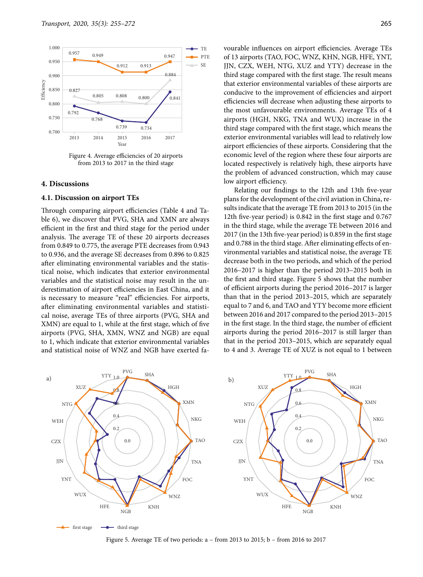

Figure 4. Average efficiencies of 20 airports from 2013 to 2017 in the third stage

#### **4. Discussions**

#### **4.1. Discussion on airport TEs**

Through comparing airport efficiencies (Table 4 and Table 6), we discover that PVG, SHA and XMN are always efficient in the first and third stage for the period under analysis. The average TE of these 20 airports decreases from 0.849 to 0.775, the average PTE decreases from 0.943 to 0.936, and the average SE decreases from 0.896 to 0.825 after eliminating environmental variables and the statistical noise, which indicates that exterior environmental variables and the statistical noise may result in the underestimation of airport efficiencies in East China, and it is necessary to measure "real" efficiencies. For airports, after eliminating environmental variables and statistical noise, average TEs of three airports (PVG, SHA and XMN) are equal to 1, while at the first stage, which of five airports (PVG, SHA, XMN, WNZ and NGB) are equal to 1, which indicate that exterior environmental variables and statistical noise of WNZ and NGB have exerted fa-

vourable influences on airport efficiencies. Average TEs of 13 airports (TAO, FOC, WNZ, KHN, NGB, HFE, YNT, JJN, CZX, WEH, NTG, XUZ and YTY) decrease in the third stage compared with the first stage. The result means that exterior environmental variables of these airports are conducive to the improvement of efficiencies and airport efficiencies will decrease when adjusting these airports to the most unfavourable environments. Average TEs of 4 airports (HGH, NKG, TNA and WUX) increase in the third stage compared with the first stage, which means the exterior environmental variables will lead to relatively low airport efficiencies of these airports. Considering that the economic level of the region where these four airports are located respectively is relatively high, these airports have the problem of advanced construction, which may cause low airport efficiency.

Relating our findings to the 12th and 13th five-year plans for the development of the civil aviation in China, results indicate that the average TE from 2013 to 2015 (in the 12th five-year period) is 0.842 in the first stage and 0.767 in the third stage, while the average TE between 2016 and 2017 (in the 13th five-year period) is 0.859 in the first stage and 0.788 in the third stage. After eliminating effects of environmental variables and statistical noise, the average TE decrease both in the two periods, and which of the period 2016–2017 is higher than the period 2013–2015 both in the first and third stage. Figure 5 shows that the number of efficient airports during the period 2016–2017 is larger than that in the period 2013–2015, which are separately equal to 7 and 6, and TAO and YTY become more efficient between 2016 and 2017 compared to the period 2013–2015 in the first stage. In the third stage, the number of efficient airports during the period 2016–2017 is still larger than that in the period 2013–2015, which are separately equal to 4 and 3. Average TE of XUZ is not equal to 1 between



Figure 5. Average TE of two periods: a – from 2013 to 2015; b – from 2016 to 2017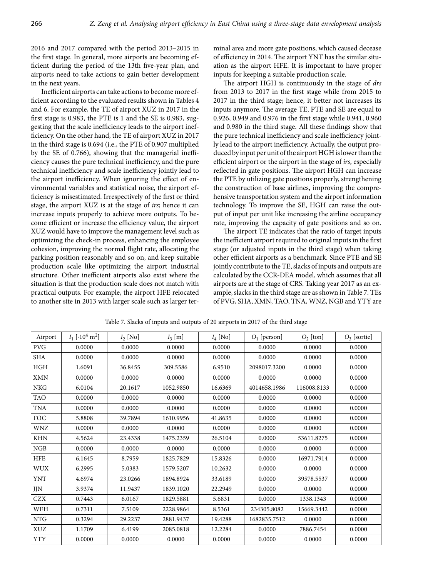2016 and 2017 compared with the period 2013–2015 in the first stage. In general, more airports are becoming efficient during the period of the 13th five-year plan, and airports need to take actions to gain better development in the next years.

Inefficient airports can take actions to become more efficient according to the evaluated results shown in Tables 4 and 6. For example, the TE of airport XUZ in 2017 in the first stage is 0.983, the PTE is 1 and the SE is 0.983, suggesting that the scale inefficiency leads to the airport inefficiency. On the other hand, the TE of airport XUZ in 2017 in the third stage is 0.694 (i.e., the PTE of 0.907 multiplied by the SE of 0.766), showing that the managerial inefficiency causes the pure technical inefficiency, and the pure technical inefficiency and scale inefficiency jointly lead to the airport inefficiency. When ignoring the effect of environmental variables and statistical noise, the airport efficiency is misestimated. Irrespectively of the first or third stage, the airport XUZ is at the stage of *irs*; hence it can increase inputs properly to achieve more outputs. To become efficient or increase the efficiency value, the airport XUZ would have to improve the management level such as optimizing the check-in process, enhancing the employee cohesion, improving the normal flight rate, allocating the parking position reasonably and so on, and keep suitable production scale like optimizing the airport industrial structure. Other inefficient airports also exist where the situation is that the production scale does not match with practical outputs. For example, the airport HFE relocated to another site in 2013 with larger scale such as larger terminal area and more gate positions, which caused decease of efficiency in 2014. The airport YNT has the similar situation as the airport HFE. It is important to have proper inputs for keeping a suitable production scale.

The airport HGH is continuously in the stage of *drs* from 2013 to 2017 in the first stage while from 2015 to 2017 in the third stage; hence, it better not increases its inputs anymore. The average TE, PTE and SE are equal to 0.926, 0.949 and 0.976 in the first stage while 0.941, 0.960 and 0.980 in the third stage. All these findings show that the pure technical inefficiency and scale inefficiency jointly lead to the airport inefficiency. Actually, the output produced by input per unit of the airport HGH is lower than the efficient airport or the airport in the stage of *irs*, especially reflected in gate positions. The airport HGH can increase the PTE by utilizing gate positions properly, strengthening the construction of base airlines, improving the comprehensive transportation system and the airport information technology. To improve the SE, HGH can raise the output of input per unit like increasing the airline occupancy rate, improving the capacity of gate positions and so on.

The airport TE indicates that the ratio of target inputs the inefficient airport required to original inputs in the first stage (or adjusted inputs in the third stage) when taking other efficient airports as a benchmark. Since PTE and SE jointly contribute to the TE, slacks of inputs and outputs are calculated by the CCR-DEA model, which assumes that all airports are at the stage of CRS. Taking year 2017 as an example, slacks in the third stage are as shown in Table 7. TEs of PVG, SHA, XMN, TAO, TNA, WNZ, NGB and YTY are

| Airport    | $I_1$ [ $\cdot 10^4$ m <sup>2</sup> ] | $I_2$ [No] | $I_3$ [m] | $I_4$ [No] | $O1$ [person] | $O_2$ [ton] | $O_3$ [sortie] |
|------------|---------------------------------------|------------|-----------|------------|---------------|-------------|----------------|
| <b>PVG</b> | 0.0000                                | 0.0000     | 0.0000    | 0.0000     | 0.0000        | 0.0000      | 0.0000         |
| <b>SHA</b> | 0.0000                                | 0.0000     | 0.0000    | 0.0000     | 0.0000        | 0.0000      | 0.0000         |
| HGH        | 1.6091                                | 36.8455    | 309.5586  | 6.9510     | 2098017.3200  | 0.0000      | 0.0000         |
| <b>XMN</b> | 0.0000                                | 0.0000     | 0.0000    | 0.0000     | 0.0000        | 0.0000      | 0.0000         |
| <b>NKG</b> | 6.0104                                | 20.1617    | 1052.9850 | 16.6369    | 4014658.1986  | 116008.8133 | 0.0000         |
| TAO        | 0.0000                                | 0.0000     | 0.0000    | 0.0000     | 0.0000        | 0.0000      | 0.0000         |
| <b>TNA</b> | 0.0000                                | 0.0000     | 0.0000    | 0.0000     | 0.0000        | 0.0000      | 0.0000         |
| FOC        | 5.8808                                | 39.7894    | 1610.9956 | 41.8635    | 0.0000        | 0.0000      | 0.0000         |
| <b>WNZ</b> | 0.0000                                | 0.0000     | 0.0000    | 0.0000     | 0.0000        | 0.0000      | 0.0000         |
| <b>KHN</b> | 4.5624                                | 23.4338    | 1475.2359 | 26.5104    | 0.0000        | 53611.8275  | 0.0000         |
| NGB        | 0.0000                                | 0.0000     | 0.0000    | 0.0000     | 0.0000        | 0.0000      | 0.0000         |
| <b>HFE</b> | 6.1645                                | 8.7959     | 1825.7829 | 15.8326    | 0.0000        | 16971.7914  | 0.0000         |
| <b>WUX</b> | 6.2995                                | 5.0383     | 1579.5207 | 10.2632    | 0.0000        | 0.0000      | 0.0000         |
| <b>YNT</b> | 4.6974                                | 23.0266    | 1894.8924 | 33.6189    | 0.0000        | 39578.5537  | 0.0000         |
| JJN        | 3.9374                                | 11.9437    | 1839.1020 | 22.2949    | 0.0000        | 0.0000      | 0.0000         |
| <b>CZX</b> | 0.7443                                | 6.0167     | 1829.5881 | 5.6831     | 0.0000        | 1338.1343   | 0.0000         |
| WEH        | 0.7311                                | 7.5109     | 2228.9864 | 8.5361     | 234305.8082   | 15669.3442  | 0.0000         |
| <b>NTG</b> | 0.3294                                | 29.2237    | 2881.9437 | 19.4288    | 1682835.7512  | 0.0000      | 0.0000         |
| <b>XUZ</b> | 1.1709                                | 6.4199     | 2085.0818 | 12.2284    | 0.0000        | 7886.7454   | 0.0000         |
| <b>YTY</b> | 0.0000                                | 0.0000     | 0.0000    | 0.0000     | 0.0000        | 0.0000      | 0.0000         |

Table 7. Slacks of inputs and outputs of 20 airports in 2017 of the third stage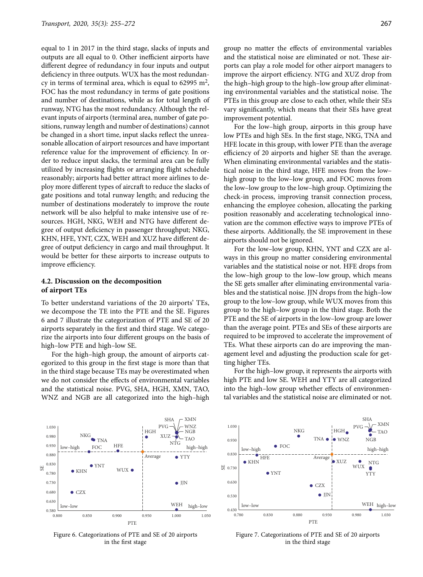equal to 1 in 2017 in the third stage, slacks of inputs and outputs are all equal to 0. Other inefficient airports have different degree of redundancy in four inputs and output deficiency in three outputs. WUX has the most redundancy in terms of terminal area, which is equal to 62995 m<sup>2</sup>, FOC has the most redundancy in terms of gate positions and number of destinations, while as for total length of runway, NTG has the most redundancy. Although the relevant inputs of airports (terminal area, number of gate positions, runway length and number of destinations) cannot be changed in a short time, input slacks reflect the unreasonable allocation of airport resources and have important reference value for the improvement of efficiency. In order to reduce input slacks, the terminal area can be fully utilized by increasing flights or arranging flight schedule reasonably; airports had better attract more airlines to deploy more different types of aircraft to reduce the slacks of gate positions and total runway length; and reducing the number of destinations moderately to improve the route network will be also helpful to make intensive use of resources. HGH, NKG, WEH and NTG have different degree of output deficiency in passenger throughput; NKG, KHN, HFE, YNT, CZX, WEH and XUZ have different degree of output deficiency in cargo and mail throughput. It would be better for these airports to increase outputs to improve efficiency.

## **4.2. Discussion on the decomposition of airport TEs**

To better understand variations of the 20 airports' TEs, we decompose the TE into the PTE and the SE. Figures 6 and 7 illustrate the categorization of PTE and SE of 20 airports separately in the first and third stage. We categorize the airports into four different groups on the basis of high–low PTE and high–low SE.

For the high–high group, the amount of airports categorized to this group in the first stage is more than that in the third stage because TEs may be overestimated when we do not consider the effects of environmental variables and the statistical noise. PVG, SHA, HGH, XMN, TAO, WNZ and NGB are all categorized into the high–high

 $SHA \t - XMN$ 

group no matter the effects of environmental variables and the statistical noise are eliminated or not. These airports can play a role model for other airport managers to improve the airport efficiency. NTG and XUZ drop from the high–high group to the high–low group after eliminating environmental variables and the statistical noise. The PTEs in this group are close to each other, while their SEs vary significantly, which means that their SEs have great improvement potential.

For the low–high group, airports in this group have low PTEs and high SEs. In the first stage, NKG, TNA and HFE locate in this group, with lower PTE than the average efficiency of 20 airports and higher SE than the average. When eliminating environmental variables and the statistical noise in the third stage, HFE moves from the low– high group to the low–low group, and FOC moves from the low–low group to the low–high group. Optimizing the check-in process, improving transit connection process, enhancing the employee cohesion, allocating the parking position reasonably and accelerating technological innovation are the common effective ways to improve PTEs of these airports. Additionally, the SE improvement in these airports should not be ignored.

For the low–low group, KHN, YNT and CZX are always in this group no matter considering environmental variables and the statistical noise or not. HFE drops from the low–high group to the low–low group, which means the SE gets smaller after eliminating environmental variables and the statistical noise. JJN drops from the high–low group to the low–low group, while WUX moves from this group to the high–low group in the third stage. Both the PTE and the SE of airports in the low–low group are lower than the average point. PTEs and SEs of these airports are required to be improved to accelerate the improvement of TEs. What these airports can do are improving the management level and adjusting the production scale for getting higher TEs.

For the high–low group, it represents the airports with high PTE and low SE. WEH and YTY are all categorized into the high–low group whether effects of environmental variables and the statistical noise are eliminated or not.



Figure 6. Categorizations of PTE and SE of 20 airports in the first stage



Figure 7. Categorizations of PTE and SE of 20 airports in the third stage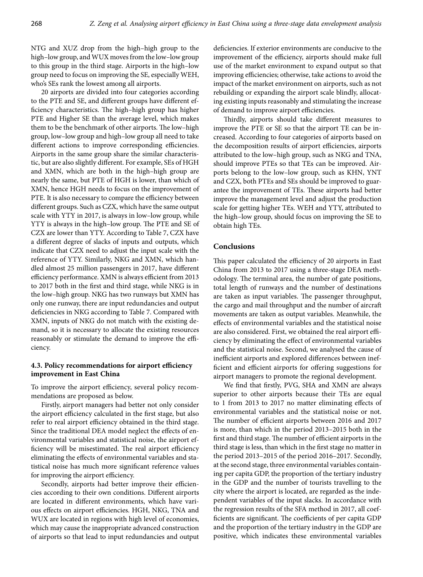NTG and XUZ drop from the high–high group to the high–low group, and WUX moves from the low–low group to this group in the third stage. Airports in the high–low group need to focus on improving the SE, especially WEH, who's SEs rank the lowest among all airports.

20 airports are divided into four categories according to the PTE and SE, and different groups have different efficiency characteristics. The high–high group has higher PTE and Higher SE than the average level, which makes them to be the benchmark of other airports. The low–high group, low–low group and high–low group all need to take different actions to improve corresponding efficiencies. Airports in the same group share the similar characteristic, but are also slightly different. For example, SEs of HGH and XMN, which are both in the high–high group are nearly the same, but PTE of HGH is lower, than which of XMN, hence HGH needs to focus on the improvement of PTE. It is also necessary to compare the efficiency between different groups. Such as CZX, which have the same output scale with YTY in 2017, is always in low–low group, while YTY is always in the high–low group. The PTE and SE of CZX are lower than YTY. According to Table 7, CZX have a different degree of slacks of inputs and outputs, which indicate that CZX need to adjust the input scale with the reference of YTY. Similarly, NKG and XMN, which handled almost 25 million passengers in 2017, have different efficiency performance. XMN is always efficient from 2013 to 2017 both in the first and third stage, while NKG is in the low–high group. NKG has two runways but XMN has only one runway, there are input redundancies and output deficiencies in NKG according to Table 7. Compared with XMN, inputs of NKG do not match with the existing demand, so it is necessary to allocate the existing resources reasonably or stimulate the demand to improve the efficiency.

# **4.3. Policy recommendations for airport efficiency improvement in East China**

To improve the airport efficiency, several policy recommendations are proposed as below.

Firstly, airport managers had better not only consider the airport efficiency calculated in the first stage, but also refer to real airport efficiency obtained in the third stage. Since the traditional DEA model neglect the effects of environmental variables and statistical noise, the airport efficiency will be misestimated. The real airport efficiency eliminating the effects of environmental variables and statistical noise has much more significant reference values for improving the airport efficiency.

Secondly, airports had better improve their efficiencies according to their own conditions. Different airports are located in different environments, which have various effects on airport efficiencies. HGH, NKG, TNA and WUX are located in regions with high level of economies, which may cause the inappropriate advanced construction of airports so that lead to input redundancies and output deficiencies. If exterior environments are conducive to the improvement of the efficiency, airports should make full use of the market environment to expand output so that improving efficiencies; otherwise, take actions to avoid the impact of the market environment on airports, such as not rebuilding or expanding the airport scale blindly, allocating existing inputs reasonably and stimulating the increase of demand to improve airport efficiencies.

Thirdly, airports should take different measures to improve the PTE or SE so that the airport TE can be increased. According to four categories of airports based on the decomposition results of airport efficiencies, airports attributed to the low–high group, such as NKG and TNA, should improve PTEs so that TEs can be improved. Airports belong to the low–low group, such as KHN, YNT and CZX, both PTEs and SEs should be improved to guarantee the improvement of TEs. These airports had better improve the management level and adjust the production scale for getting higher TEs. WEH and YTY, attributed to the high–low group, should focus on improving the SE to obtain high TEs.

## **Conclusions**

This paper calculated the efficiency of 20 airports in East China from 2013 to 2017 using a three-stage DEA methodology. The terminal area, the number of gate positions, total length of runways and the number of destinations are taken as input variables. The passenger throughput, the cargo and mail throughput and the number of aircraft movements are taken as output variables. Meanwhile, the effects of environmental variables and the statistical noise are also considered. First, we obtained the real airport efficiency by eliminating the effect of environmental variables and the statistical noise. Second, we analysed the cause of inefficient airports and explored differences between inefficient and efficient airports for offering suggestions for airport managers to promote the regional development.

We find that firstly, PVG, SHA and XMN are always superior to other airports because their TEs are equal to 1 from 2013 to 2017 no matter eliminating effects of environmental variables and the statistical noise or not. The number of efficient airports between 2016 and 2017 is more, than which in the period 2013–2015 both in the first and third stage. The number of efficient airports in the third stage is less, than which in the first stage no matter in the period 2013–2015 of the period 2016–2017. Secondly, at the second stage, three environmental variables containing per capita GDP, the proportion of the tertiary industry in the GDP and the number of tourists travelling to the city where the airport is located, are regarded as the independent variables of the input slacks. In accordance with the regression results of the SFA method in 2017, all coefficients are significant. The coefficients of per capita GDP and the proportion of the tertiary industry in the GDP are positive, which indicates these environmental variables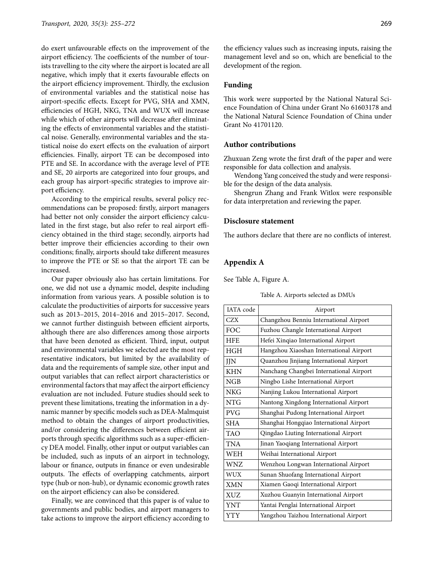do exert unfavourable effects on the improvement of the airport efficiency. The coefficients of the number of tourists travelling to the city where the airport is located are all negative, which imply that it exerts favourable effects on the airport efficiency improvement. Thirdly, the exclusion of environmental variables and the statistical noise has airport-specific effects. Except for PVG, SHA and XMN, efficiencies of HGH, NKG, TNA and WUX will increase while which of other airports will decrease after eliminating the effects of environmental variables and the statistical noise. Generally, environmental variables and the statistical noise do exert effects on the evaluation of airport efficiencies. Finally, airport TE can be decomposed into PTE and SE. In accordance with the average level of PTE and SE, 20 airports are categorized into four groups, and each group has airport-specific strategies to improve airport efficiency.

According to the empirical results, several policy recommendations can be proposed: firstly, airport managers had better not only consider the airport efficiency calculated in the first stage, but also refer to real airport efficiency obtained in the third stage; secondly, airports had better improve their efficiencies according to their own conditions; finally, airports should take different measures to improve the PTE or SE so that the airport TE can be increased.

Our paper obviously also has certain limitations. For one, we did not use a dynamic model, despite including information from various years. A possible solution is to calculate the productivities of airports for successive years such as 2013–2015, 2014–2016 and 2015–2017. Second, we cannot further distinguish between efficient airports, although there are also differences among those airports that have been denoted as efficient. Third, input, output and environmental variables we selected are the most representative indicators, but limited by the availability of data and the requirements of sample size, other input and output variables that can reflect airport characteristics or environmental factors that may affect the airport efficiency evaluation are not included. Future studies should seek to prevent these limitations, treating the information in a dynamic manner by specific models such as DEA-Malmquist method to obtain the changes of airport productivities, and/or considering the differences between efficient airports through specific algorithms such as a super-efficiency DEA model. Finally, other input or output variables can be included, such as inputs of an airport in technology, labour or finance, outputs in finance or even undesirable outputs. The effects of overlapping catchments, airport type (hub or non-hub), or dynamic economic growth rates on the airport efficiency can also be considered.

Finally, we are convinced that this paper is of value to governments and public bodies, and airport managers to take actions to improve the airport efficiency according to

the efficiency values such as increasing inputs, raising the management level and so on, which are beneficial to the development of the region.

# **Funding**

This work were supported by the National Natural Science Foundation of China under Grant No 61603178 and the National Natural Science Foundation of China under Grant No 41701120.

# **Author contributions**

Zhuxuan Zeng wrote the first draft of the paper and were responsible for data collection and analysis.

Wendong Yang conceived the study and were responsible for the design of the data analysis.

Shengrun Zhang and Frank Witlox were responsible for data interpretation and reviewing the paper.

#### **Disclosure statement**

The authors declare that there are no conflicts of interest.

## **Appendix A**

See Table A, Figure A.

| Table A. Airports selected as DMUs |  |
|------------------------------------|--|
|------------------------------------|--|

| <b>IATA</b> code | Airport                                 |
|------------------|-----------------------------------------|
| CZX              | Changzhou Benniu International Airport  |
| FOC              | Fuzhou Changle International Airport    |
| <b>HFE</b>       | Hefei Xinqiao International Airport     |
| <b>HGH</b>       | Hangzhou Xiaoshan International Airport |
| <b>JJN</b>       | Quanzhou Jinjiang International Airport |
| <b>KHN</b>       | Nanchang Changbei International Airport |
| NGB              | Ningbo Lishe International Airport      |
| <b>NKG</b>       | Nanjing Lukou International Airport     |
| <b>NTG</b>       | Nantong Xingdong International Airport  |
| <b>PVG</b>       | Shanghai Pudong International Airport   |
| <b>SHA</b>       | Shanghai Hongqiao International Airport |
| <b>TAO</b>       | Qingdao Liuting International Airport   |
| <b>TNA</b>       | Jinan Yaoqiang International Airport    |
| <b>WEH</b>       | Weihai International Airport            |
| WNZ              | Wenzhou Longwan International Airport   |
| <b>WUX</b>       | Sunan Shuofang International Airport    |
| <b>XMN</b>       | Xiamen Gaoqi International Airport      |
| <b>XUZ</b>       | Xuzhou Guanyin International Airport    |
| <b>YNT</b>       | Yantai Penglai International Airport    |
| <b>YTY</b>       | Yangzhou Taizhou International Airport  |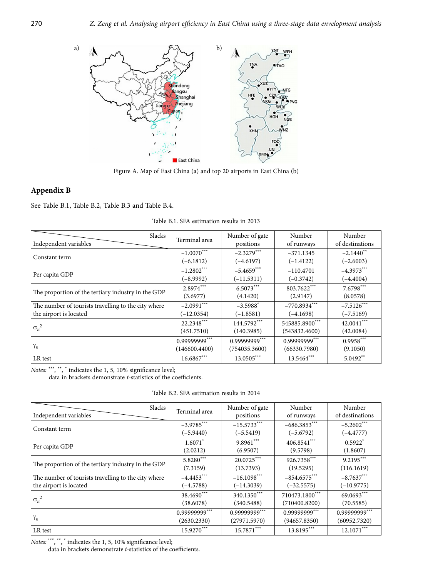

Figure A. Map of East China (a) and top 20 airports in East China (b)

# **Appendix B**

See Table B.1, Table B.2, Table B.3 and Table B.4.

| <b>Slacks</b><br>Independent variables              | Terminal area | Number of gate<br>positions | Number<br>of runways | Number<br>of destinations |
|-----------------------------------------------------|---------------|-----------------------------|----------------------|---------------------------|
| Constant term                                       | $-1.0070$ *** | $-2.3279***$                | $-371.1345$          | $-2.1440$ <sup>**</sup>   |
|                                                     | $(-6.1812)$   | $(-4.6197)$                 | $(-1.4122)$          | $(-2.6003)$               |
| Per capita GDP                                      | $-1.2802***$  | $-5.4659***$                | $-110.4701$          | $-4.3973***$              |
|                                                     | $(-8.9992)$   | $(-11.5311)$                | $(-0.3742)$          | $(-4.4004)$               |
| The proportion of the tertiary industry in the GDP  | $2.8974***$   | $6.5073***$                 | 803.7622***          | $7.6798***$               |
|                                                     | (3.6977)      | (4.1420)                    | (2.9147)             | (8.0578)                  |
| The number of tourists travelling to the city where | $-2.0991***$  | $-3.5988^{*}$               | $-770.8934***$       | $-7.5126***$              |
| the airport is located                              | $(-12.0354)$  | $(-1.8581)$                 | $(-4.1698)$          | $(-7.5169)$               |
| $\sigma_n^2$                                        | 22.2348***    | 144.5792***                 | 545885.8900***       | $42.0041***$              |
|                                                     | (451.7510)    | (140.3985)                  | (543832.4600)        | (42.0084)                 |
|                                                     | 0.99999999*** | 0.99999999***               | 0.99999999***        | $0.9958***$               |
| $\gamma_n$                                          | (146600.4400) | (754035.3600)               | (66330.7980)         | (9.1050)                  |
| LR test                                             | $16.6867***$  | $13.0505***$                | 13.5464***           | $5.0492**$                |

Table B.1. SFA estimation results in 2013

Notes: \*\*\*, \*\*, \* indicates the 1, 5, 10% significance level;

data in brackets demonstrate *t-*statistics of the coefficients.

| Slacks                                              | Terminal area         | Number of gate | Number         | Number                |
|-----------------------------------------------------|-----------------------|----------------|----------------|-----------------------|
| Independent variables                               |                       | positions      | of runways     | of destinations       |
| Constant term                                       | $-3.9785***$          | $-15.5733***$  | $-686.3853***$ | $-5.2602$ ***         |
|                                                     | $(-5.9440)$           | $(-5.5419)$    | $(-5.6792)$    | $(-4.4777)$           |
| Per capita GDP                                      | $1.6071$ <sup>*</sup> | $9.8961***$    | 406.8541***    | $0.5922$ <sup>*</sup> |
|                                                     | (2.0212)              | (6.9507)       | (9.5798)       | (1.8607)              |
| The proportion of the tertiary industry in the GDP  | $5.8280***$           | 20.0725***     | 926.7358***    | $9.2195***$           |
|                                                     | (7.3159)              | (13.7393)      | (19.5295)      | (116.1619)            |
| The number of tourists travelling to the city where | $-4.4453***$          | $-16.1098***$  | $-854.6575***$ | $-8.7637***$          |
| the airport is located                              | $(-4.5788)$           | $(-14.3039)$   | $(-32.5575)$   | $(-10.9775)$          |
| $\sigma_n^2$                                        | 38.4690***            | 340.1350***    | 710473.1800*** | 69.0693***            |
|                                                     | (38.6078)             | (340.5488)     | (710400.8200)  | (70.5585)             |
| $\gamma_n$                                          | 0.99999999***         | 0.99999999***  | 0.99999999***  | 0.99999999***         |
|                                                     | (2630.2330)           | (27971.5970)   | (94657.8350)   | (60952.7320)          |
| LR test                                             | $15.9270***$          | $15.7871***$   | 13.8195***     | $12.1071***$          |

Notes: \*\*\*, \*\*, \* indicates the 1, 5, 10% significance level;

data in brackets demonstrate *t-*statistics of the coefficients.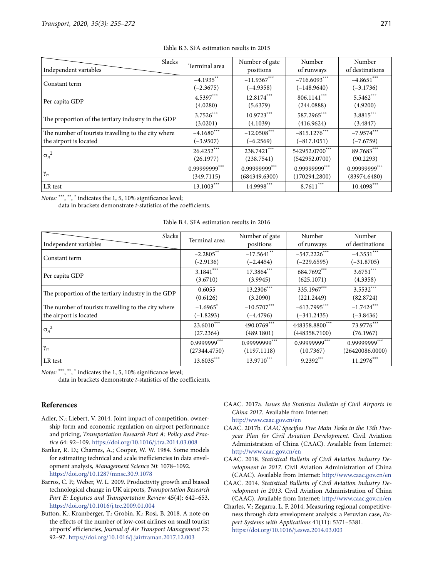| <b>Slacks</b>                                       | Terminal area | Number of gate | Number         | Number          |
|-----------------------------------------------------|---------------|----------------|----------------|-----------------|
| Independent variables                               |               | positions      | of runways     | of destinations |
| Constant term                                       | $-4.1935***$  | $-11.9367***$  | $-716.6093***$ | $-4.8651***$    |
|                                                     | $(-2.3675)$   | $(-4.9358)$    | $(-148.9640)$  | $(-3.1736)$     |
| Per capita GDP                                      | $4.5397***$   | 12.8174***     | 806.1141***    | $5.5462***$     |
|                                                     | (4.0280)      | (5.6379)       | (244.0888)     | (4.9200)        |
| The proportion of the tertiary industry in the GDP  | $3.7526***$   | $10.9723***$   | 587.2965***    | $3.8815***$     |
|                                                     | (3.0201)      | (4.1039)       | (416.9624)     | (3.4847)        |
| The number of tourists travelling to the city where | $-4.1680$ *** | $-12.0508***$  | $-815.1276***$ | $-7.9574***$    |
| the airport is located                              | $(-3.9507)$   | $(-6.2569)$    | $(-817.1051)$  | $(-7.6759)$     |
| $\sigma_n^2$                                        | $26.4252***$  | 238.7421***    | 542952.0700*** | 89.7683***      |
|                                                     | (26.1977)     | (238.7541)     | (542952.0700)  | (90.2293)       |
| $\gamma_n$                                          | 0.99999999*** | 0.99999999***  | 0.99999999***  | 0.99999999***   |
|                                                     | (349.7115)    | (684349.6300)  | (170294.2800)  | (83974.6480)    |
| LR test                                             | $13.1003***$  | 14.9998***     | $8.7611***$    | $10.4098***$    |

### Table B.3. SFA estimation results in 2015

Notes: \*\*\*, \*\*, \* indicates the 1, 5, 10% significance level;

data in brackets demonstrate *t-*statistics of the coefficients.

| Table B.4. SFA estimation results in 2016 |  |  |
|-------------------------------------------|--|--|
|-------------------------------------------|--|--|

| Slacks                                              | Terminal area          | Number of gate | Number          | Number          |
|-----------------------------------------------------|------------------------|----------------|-----------------|-----------------|
| Independent variables                               |                        | positions      | of runways      | of destinations |
| Constant term                                       | $-2.2805***$           | $-17.5641$ **  | $-547.2226$ *** | $-4.3531***$    |
|                                                     | $(-2.9136)$            | $(-2.4454)$    | $(-229.6595)$   | $(-31.8705)$    |
| Per capita GDP                                      | $3.1841***$            | 17.3864***     | 684.7692***     | $3.6751***$     |
|                                                     | (3.6710)               | (3.9945)       | (625.1071)      | (4.3358)        |
| The proportion of the tertiary industry in the GDP  | 0.6055                 | $13.2306***$   | 335.1967***     | $3.5532***$     |
|                                                     | (0.6126)               | (3.2090)       | (221.2449)      | (82.8724)       |
| The number of tourists travelling to the city where | $-1.6965$ <sup>*</sup> | $-10.5707***$  | $-613.7995***$  | $-1.7424***$    |
| the airport is located                              | $(-1.8293)$            | $(-4.4796)$    | $(-341.2435)$   | $(-3.8436)$     |
| $\sigma_n^2$                                        | $23.6010***$           | 490.0769***    | 448358.8800***  | 73.9776***      |
|                                                     | (27.2364)              | (489.1801)     | (448358.7100)   | (76.1967)       |
| $\gamma_n$                                          | 0.9999999***           | 0.99999999***  | 0.99999999***   | 0.99999999***   |
|                                                     | (27344.4750)           | (1197.1118)    | (10.7367)       | (26420086.0000) |
| LR test                                             | $13.6035***$           | 13.9710***     | $9.2392***$     | $11.2976***$    |

Notes: \*\*\*, \*\*, \* indicates the 1, 5, 10% significance level;

data in brackets demonstrate *t-*statistics of the coefficients.

# **References**

- Adler, N.; Liebert, V. 2014. Joint impact of competition, ownership form and economic regulation on airport performance and pricing, *Transportation Research Part A: Policy and Practice* 64: 92–109.<https://doi.org/10.1016/j.tra.2014.03.008>
- Banker, R. D.; Charnes, A.; Cooper, W. W. 1984. Some models for estimating technical and scale inefficiencies in data envelopment analysis, *Management Science* 30: 1078–1092. <https://doi.org/10.1287/mnsc.30.9.1078>
- Barros, C. P.; Weber, W. L. 2009. Productivity growth and biased technological change in UK airports, *Transportation Research Part E: Logistics and Transportation Review* 45(4): 642–653. <https://doi.org/10.1016/j.tre.2009.01.004>
- Button, K.; Kramberger, T.; Grobin, K.; Rosi, B. 2018. A note on the effects of the number of low-cost airlines on small tourist airports' efficiencies, *Journal of Air Transport Management* 72: 92–97.<https://doi.org/10.1016/j.jairtraman.2017.12.003>
- CAAC. 2017a. *Issues the Statistics Bulletin of Civil Airports in China 2017*. Available from Internet: <http://www.caac.gov.cn/en>
- CAAC. 2017b. *CAAC Specifies Five Main Tasks in the 13th Fiveyear Plan for Civil Aviation Development*. Civil Aviation Administration of China (CAAC). Available from Internet: <http://www.caac.gov.cn/en>
- CAAC. 2018. *Statistical Bulletin of Civil Aviation Industry Development in 2017*. Civil Aviation Administration of China (CAAC). Available from Internet: <http://www.caac.gov.cn/en>
- CAAC. 2014. *Statistical Bulletin of Civil Aviation Industry Development in 2013*. Civil Aviation Administration of China (CAAC). Available from Internet: <http://www.caac.gov.cn/en>
- Charles, V.; Zegarra, L. F. 2014. Measuring regional competitiveness through data envelopment analysis: a Peruvian case, *Expert Systems with Applications* 41(11): 5371–5381. <https://doi.org/10.1016/j.eswa.2014.03.003>